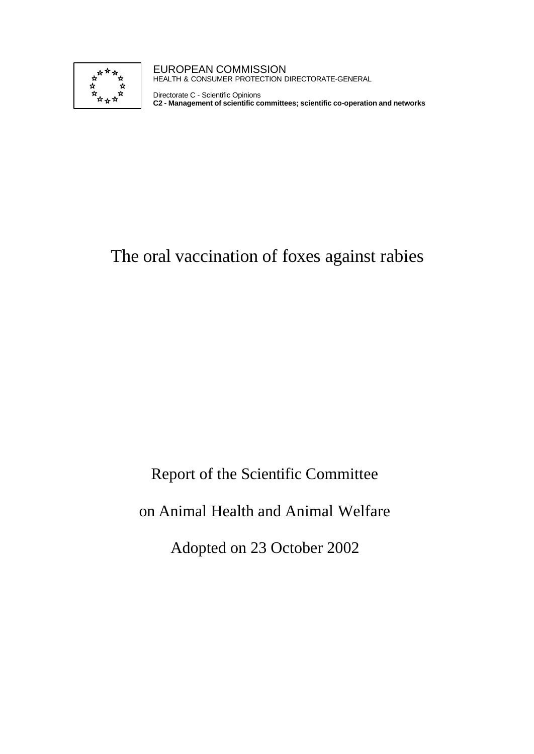

EUROPEAN COMMISSION HEALTH & CONSUMER PROTECTION DIRECTORATE-GENERAL

Directorate C - Scientific Opinions **C2 - Management of scientific committees; scientific co-operation and networks**

# The oral vaccination of foxes against rabies

Report of the Scientific Committee

on Animal Health and Animal Welfare

Adopted on 23 October 2002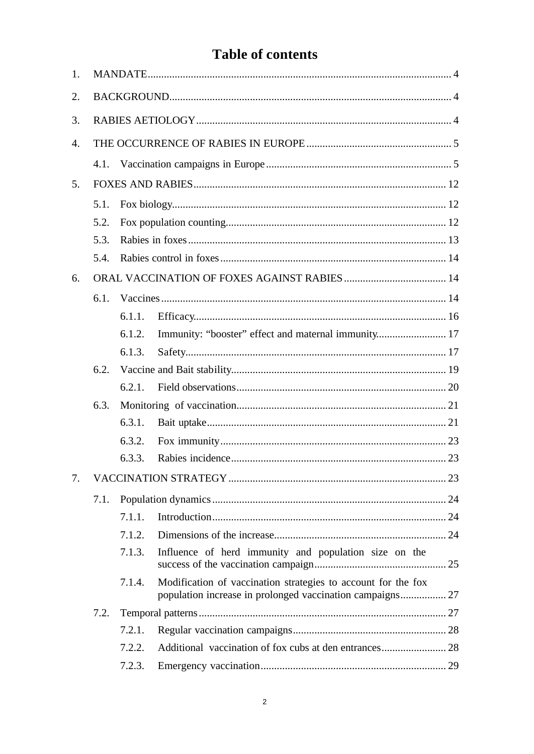## **Table of contents**

| 1. |      |        |                                                                                                                            |  |
|----|------|--------|----------------------------------------------------------------------------------------------------------------------------|--|
| 2. |      |        |                                                                                                                            |  |
| 3. |      |        |                                                                                                                            |  |
| 4. |      |        |                                                                                                                            |  |
|    |      |        |                                                                                                                            |  |
| 5. |      |        |                                                                                                                            |  |
|    | 5.1. |        |                                                                                                                            |  |
|    | 5.2. |        |                                                                                                                            |  |
|    | 5.3. |        |                                                                                                                            |  |
|    | 5.4. |        |                                                                                                                            |  |
| 6. |      |        |                                                                                                                            |  |
|    | 6.1. |        |                                                                                                                            |  |
|    |      | 6.1.1. |                                                                                                                            |  |
|    |      | 6.1.2. | Immunity: "booster" effect and maternal immunity 17                                                                        |  |
|    |      | 6.1.3. |                                                                                                                            |  |
|    | 6.2. |        |                                                                                                                            |  |
|    |      | 6.2.1. |                                                                                                                            |  |
|    | 6.3. |        |                                                                                                                            |  |
|    |      | 6.3.1. |                                                                                                                            |  |
|    |      | 6.3.2. |                                                                                                                            |  |
|    |      | 6.3.3. |                                                                                                                            |  |
| 7. |      |        |                                                                                                                            |  |
|    | 7.1. |        |                                                                                                                            |  |
|    |      | 7.1.1. |                                                                                                                            |  |
|    |      | 7.1.2. |                                                                                                                            |  |
|    |      | 7.1.3. | Influence of herd immunity and population size on the                                                                      |  |
|    |      | 7.1.4. | Modification of vaccination strategies to account for the fox<br>population increase in prolonged vaccination campaigns 27 |  |
|    | 7.2. |        |                                                                                                                            |  |
|    |      | 7.2.1. |                                                                                                                            |  |
|    |      | 7.2.2. |                                                                                                                            |  |
|    |      | 7.2.3. |                                                                                                                            |  |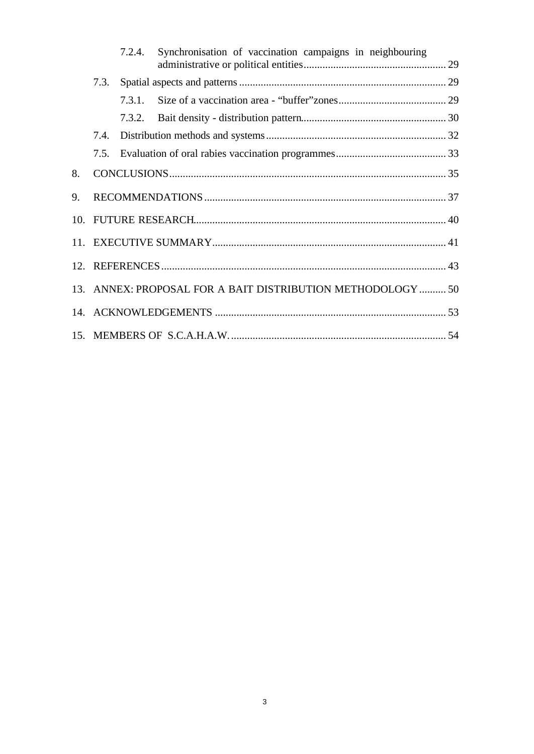|    |                                                             | 7.2.4. | Synchronisation of vaccination campaigns in neighbouring |  |
|----|-------------------------------------------------------------|--------|----------------------------------------------------------|--|
|    | 7.3.                                                        |        |                                                          |  |
|    |                                                             | 7.3.1. |                                                          |  |
|    |                                                             | 7.3.2. |                                                          |  |
|    | 7.4.                                                        |        |                                                          |  |
|    | 7.5.                                                        |        |                                                          |  |
| 8. |                                                             |        |                                                          |  |
| 9. |                                                             |        |                                                          |  |
|    |                                                             |        |                                                          |  |
|    |                                                             |        |                                                          |  |
|    |                                                             |        |                                                          |  |
|    | 13. ANNEX: PROPOSAL FOR A BAIT DISTRIBUTION METHODOLOGY  50 |        |                                                          |  |
|    |                                                             |        |                                                          |  |
|    |                                                             |        |                                                          |  |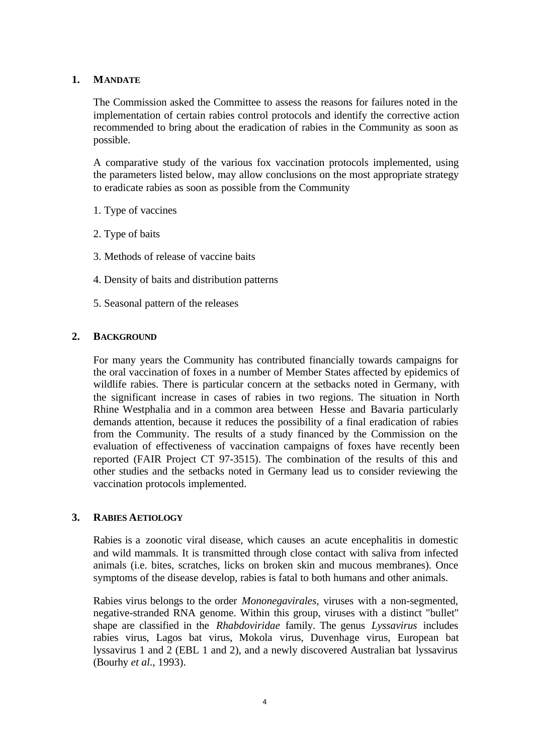## **1. MANDATE**

The Commission asked the Committee to assess the reasons for failures noted in the implementation of certain rabies control protocols and identify the corrective action recommended to bring about the eradication of rabies in the Community as soon as possible.

A comparative study of the various fox vaccination protocols implemented, using the parameters listed below, may allow conclusions on the most appropriate strategy to eradicate rabies as soon as possible from the Community

- 1. Type of vaccines
- 2. Type of baits
- 3. Methods of release of vaccine baits
- 4. Density of baits and distribution patterns
- 5. Seasonal pattern of the releases

#### **2. BACKGROUND**

For many years the Community has contributed financially towards campaigns for the oral vaccination of foxes in a number of Member States affected by epidemics of wildlife rabies. There is particular concern at the setbacks noted in Germany, with the significant increase in cases of rabies in two regions. The situation in North Rhine Westphalia and in a common area between Hesse and Bavaria particularly demands attention, because it reduces the possibility of a final eradication of rabies from the Community. The results of a study financed by the Commission on the evaluation of effectiveness of vaccination campaigns of foxes have recently been reported (FAIR Project CT 97-3515). The combination of the results of this and other studies and the setbacks noted in Germany lead us to consider reviewing the vaccination protocols implemented.

### **3. RABIES AETIOLOGY**

Rabies is a zoonotic viral disease, which causes an acute encephalitis in domestic and wild mammals. It is transmitted through close contact with saliva from infected animals (i.e. bites, scratches, licks on broken skin and mucous membranes). Once symptoms of the disease develop, rabies is fatal to both humans and other animals.

Rabies virus belongs to the order *Mononegavirales*, viruses with a non-segmented, negative-stranded RNA genome. Within this group, viruses with a distinct "bullet" shape are classified in the *Rhabdoviridae* family. The genus *Lyssavirus* includes rabies virus, Lagos bat virus, Mokola virus, Duvenhage virus, European bat lyssavirus 1 and 2 (EBL 1 and 2), and a newly discovered Australian bat lyssavirus (Bourhy *et al*., 1993).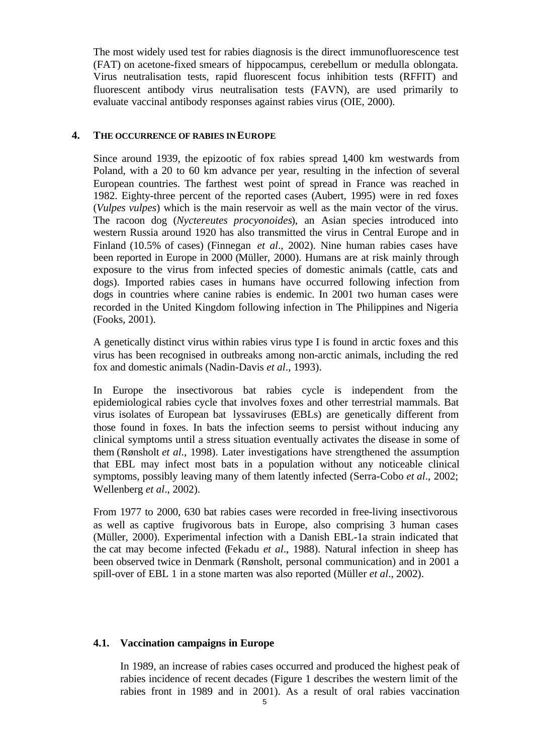The most widely used test for rabies diagnosis is the direct immunofluorescence test (FAT) on acetone-fixed smears of hippocampus, cerebellum or medulla oblongata. Virus neutralisation tests, rapid fluorescent focus inhibition tests (RFFIT) and fluorescent antibody virus neutralisation tests (FAVN), are used primarily to evaluate vaccinal antibody responses against rabies virus (OIE, 2000).

## **4. THE OCCURRENCE OF RABIES IN EUROPE**

Since around 1939, the epizootic of fox rabies spread 1,400 km westwards from Poland, with a 20 to 60 km advance per year, resulting in the infection of several European countries. The farthest west point of spread in France was reached in 1982. Eighty-three percent of the reported cases (Aubert, 1995) were in red foxes (*Vulpes vulpes*) which is the main reservoir as well as the main vector of the virus. The racoon dog (*Nyctereutes procyonoides*), an Asian species introduced into western Russia around 1920 has also transmitted the virus in Central Europe and in Finland (10.5% of cases) (Finnegan *et al*., 2002). Nine human rabies cases have been reported in Europe in 2000 (Müller, 2000). Humans are at risk mainly through exposure to the virus from infected species of domestic animals (cattle, cats and dogs). Imported rabies cases in humans have occurred following infection from dogs in countries where canine rabies is endemic. In 2001 two human cases were recorded in the United Kingdom following infection in The Philippines and Nigeria (Fooks, 2001).

A genetically distinct virus within rabies virus type I is found in arctic foxes and this virus has been recognised in outbreaks among non-arctic animals, including the red fox and domestic animals (Nadin-Davis *et al*., 1993).

In Europe the insectivorous bat rabies cycle is independent from the epidemiological rabies cycle that involves foxes and other terrestrial mammals. Bat virus isolates of European bat lyssaviruses (EBLs) are genetically different from those found in foxes. In bats the infection seems to persist without inducing any clinical symptoms until a stress situation eventually activates the disease in some of them (Rønsholt *et al*., 1998). Later investigations have strengthened the assumption that EBL may infect most bats in a population without any noticeable clinical symptoms, possibly leaving many of them latently infected (Serra-Cobo *et al*., 2002; Wellenberg *et al*., 2002).

From 1977 to 2000, 630 bat rabies cases were recorded in free-living insectivorous as well as captive frugivorous bats in Europe, also comprising 3 human cases (Müller, 2000). Experimental infection with a Danish EBL-1a strain indicated that the cat may become infected (Fekadu *et al*., 1988). Natural infection in sheep has been observed twice in Denmark (Rønsholt, personal communication) and in 2001 a spill-over of EBL 1 in a stone marten was also reported (Müller *et al*., 2002).

## **4.1. Vaccination campaigns in Europe**

In 1989, an increase of rabies cases occurred and produced the highest peak of rabies incidence of recent decades (Figure 1 describes the western limit of the rabies front in 1989 and in 2001). As a result of oral rabies vaccination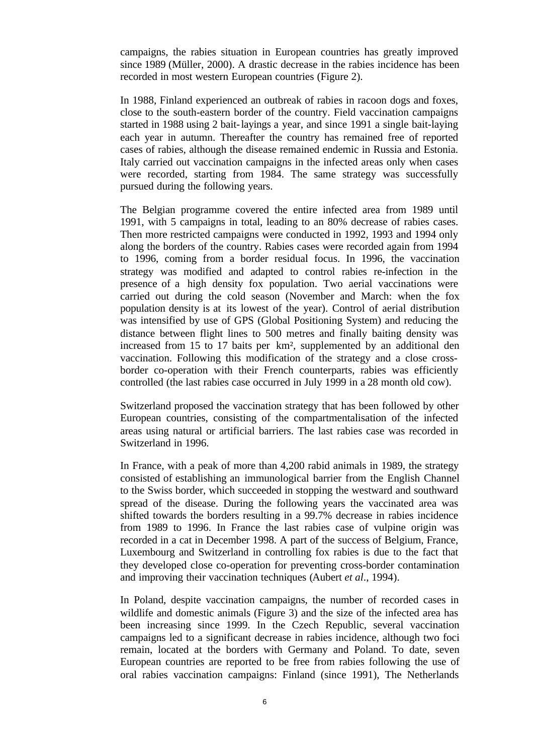campaigns, the rabies situation in European countries has greatly improved since 1989 (Müller, 2000). A drastic decrease in the rabies incidence has been recorded in most western European countries (Figure 2).

In 1988, Finland experienced an outbreak of rabies in racoon dogs and foxes, close to the south-eastern border of the country. Field vaccination campaigns started in 1988 using 2 bait-layings a year, and since 1991 a single bait-laying each year in autumn. Thereafter the country has remained free of reported cases of rabies, although the disease remained endemic in Russia and Estonia. Italy carried out vaccination campaigns in the infected areas only when cases were recorded, starting from 1984. The same strategy was successfully pursued during the following years.

The Belgian programme covered the entire infected area from 1989 until 1991, with 5 campaigns in total, leading to an 80% decrease of rabies cases. Then more restricted campaigns were conducted in 1992, 1993 and 1994 only along the borders of the country. Rabies cases were recorded again from 1994 to 1996, coming from a border residual focus. In 1996, the vaccination strategy was modified and adapted to control rabies re-infection in the presence of a high density fox population. Two aerial vaccinations were carried out during the cold season (November and March: when the fox population density is at its lowest of the year). Control of aerial distribution was intensified by use of GPS (Global Positioning System) and reducing the distance between flight lines to 500 metres and finally baiting density was increased from 15 to 17 baits per km², supplemented by an additional den vaccination. Following this modification of the strategy and a close crossborder co-operation with their French counterparts, rabies was efficiently controlled (the last rabies case occurred in July 1999 in a 28 month old cow).

Switzerland proposed the vaccination strategy that has been followed by other European countries, consisting of the compartmentalisation of the infected areas using natural or artificial barriers. The last rabies case was recorded in Switzerland in 1996.

In France, with a peak of more than 4,200 rabid animals in 1989, the strategy consisted of establishing an immunological barrier from the English Channel to the Swiss border, which succeeded in stopping the westward and southward spread of the disease. During the following years the vaccinated area was shifted towards the borders resulting in a 99.7% decrease in rabies incidence from 1989 to 1996. In France the last rabies case of vulpine origin was recorded in a cat in December 1998. A part of the success of Belgium, France, Luxembourg and Switzerland in controlling fox rabies is due to the fact that they developed close co-operation for preventing cross-border contamination and improving their vaccination techniques (Aubert *et al*., 1994).

In Poland, despite vaccination campaigns, the number of recorded cases in wildlife and domestic animals (Figure 3) and the size of the infected area has been increasing since 1999. In the Czech Republic, several vaccination campaigns led to a significant decrease in rabies incidence, although two foci remain, located at the borders with Germany and Poland. To date, seven European countries are reported to be free from rabies following the use of oral rabies vaccination campaigns: Finland (since 1991), The Netherlands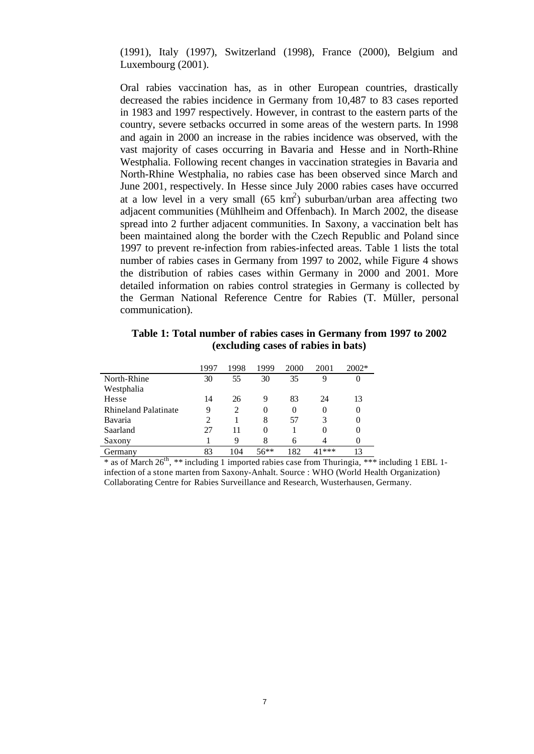(1991), Italy (1997), Switzerland (1998), France (2000), Belgium and Luxembourg (2001).

Oral rabies vaccination has, as in other European countries, drastically decreased the rabies incidence in Germany from 10,487 to 83 cases reported in 1983 and 1997 respectively. However, in contrast to the eastern parts of the country, severe setbacks occurred in some areas of the western parts. In 1998 and again in 2000 an increase in the rabies incidence was observed, with the vast majority of cases occurring in Bavaria and Hesse and in North-Rhine Westphalia. Following recent changes in vaccination strategies in Bavaria and North-Rhine Westphalia, no rabies case has been observed since March and June 2001, respectively. In Hesse since July 2000 rabies cases have occurred at a low level in a very small  $(65 \text{ km}^2)$  suburban/urban area affecting two adjacent communities (Mühlheim and Offenbach). In March 2002, the disease spread into 2 further adjacent communities. In Saxony, a vaccination belt has been maintained along the border with the Czech Republic and Poland since 1997 to prevent re-infection from rabies-infected areas. Table 1 lists the total number of rabies cases in Germany from 1997 to 2002, while Figure 4 shows the distribution of rabies cases within Germany in 2000 and 2001. More detailed information on rabies control strategies in Germany is collected by the German National Reference Centre for Rabies (T. Müller, personal communication).

**Table 1: Total number of rabies cases in Germany from 1997 to 2002 (excluding cases of rabies in bats)**

|                             | 1997 | 1998 | 1999    | 2000     | 2001    | $2002*$ |
|-----------------------------|------|------|---------|----------|---------|---------|
| North-Rhine                 | 30   | 55   | 30      | 35       | 9       | $_{0}$  |
| Westphalia                  |      |      |         |          |         |         |
| Hesse                       | 14   | 26   | 9       | 83       | 24      | 13      |
| <b>Rhineland Palatinate</b> | 9    | 2    | 0       | $\Omega$ |         | 0       |
| Bavaria                     |      |      | 8       | 57       |         | 0       |
| Saarland                    | 27   | 11   | 0       |          |         | 0       |
| Saxony                      |      | Q    | 8       |          |         | 0       |
| Germany                     | 83   | 104  | $56***$ | 182      | $41***$ | 13      |

\* as of March  $26^{th}$ , \*\* including 1 imported rabies case from Thuringia, \*\*\* including 1 EBL 1infection of a stone marten from Saxony-Anhalt. Source : WHO (World Health Organization) Collaborating Centre for Rabies Surveillance and Research, Wusterhausen, Germany.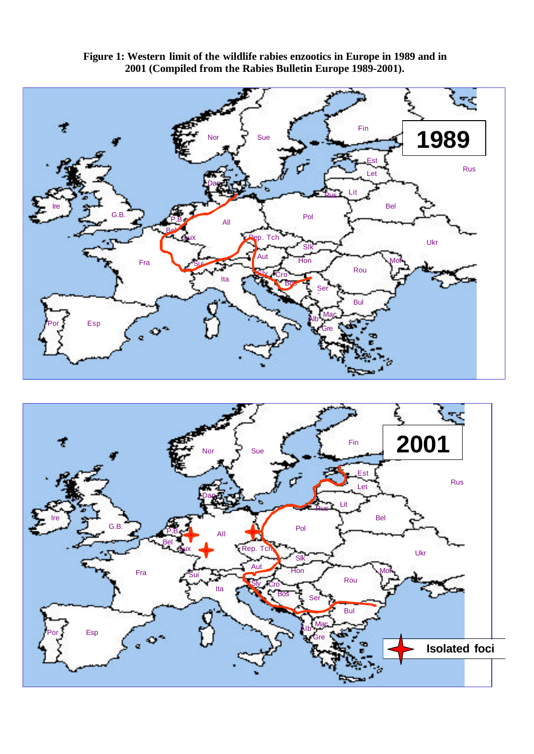



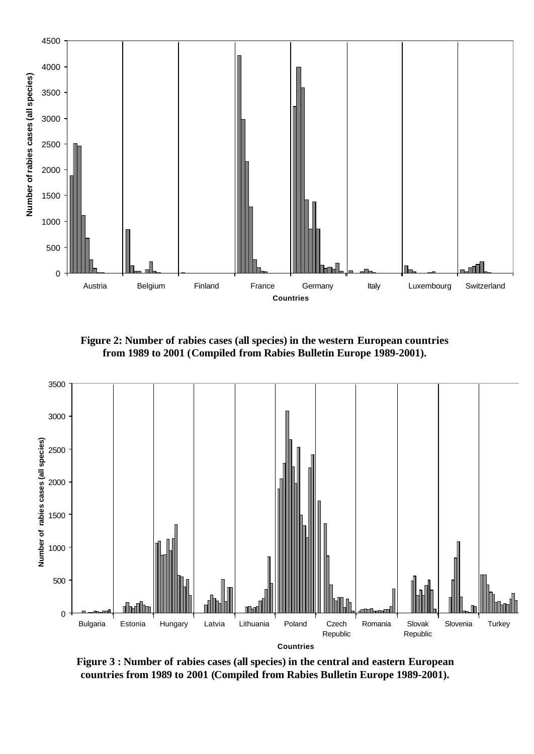

**Figure 2: Number of rabies cases (all species) in the western European countries from 1989 to 2001 (Compiled from Rabies Bulletin Europe 1989-2001).**



**Figure 3 : Number of rabies cases (all species) in the central and eastern European countries from 1989 to 2001 (Compiled from Rabies Bulletin Europe 1989-2001).**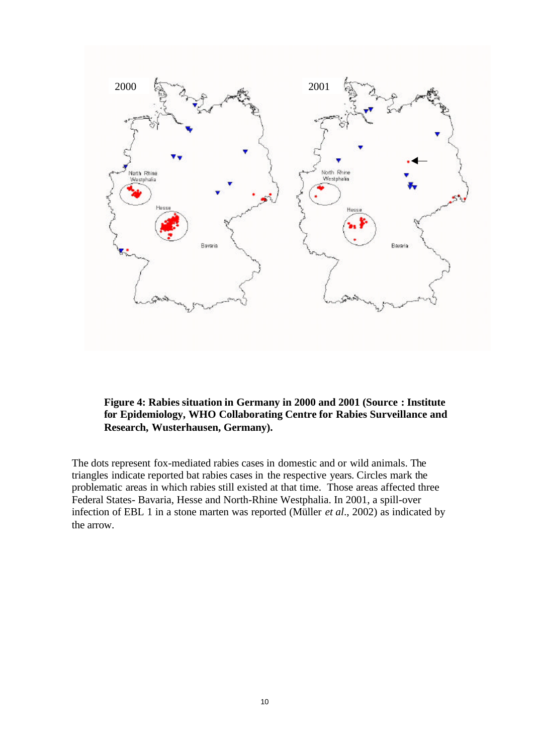

**Figure 4: Rabies situation in Germany in 2000 and 2001 (Source : Institute for Epidemiology, WHO Collaborating Centre for Rabies Surveillance and Research, Wusterhausen, Germany).**

The dots represent fox-mediated rabies cases in domestic and or wild animals. The triangles indicate reported bat rabies cases in the respective years. Circles mark the problematic areas in which rabies still existed at that time. Those areas affected three Federal States- Bavaria, Hesse and North-Rhine Westphalia. In 2001, a spill-over infection of EBL 1 in a stone marten was reported (Müller *et al*., 2002) as indicated by the arrow.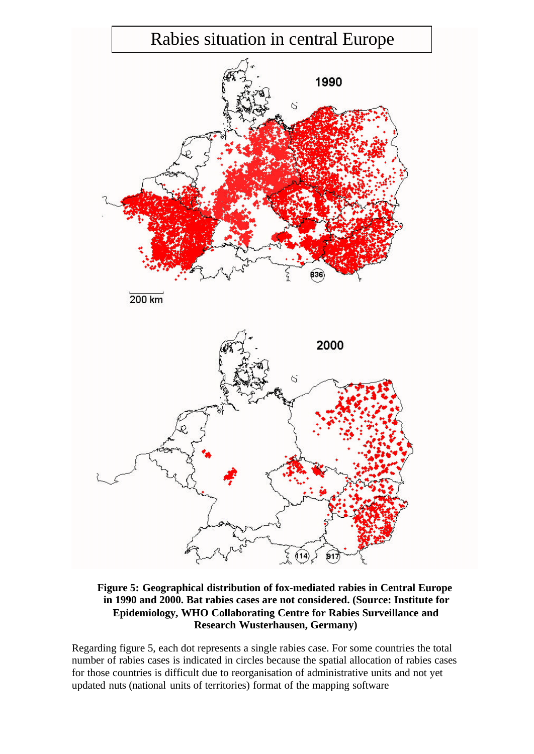

**Figure 5: Geographical distribution of fox-mediated rabies in Central Europe in 1990 and 2000. Bat rabies cases are not considered. (Source: Institute for Epidemiology, WHO Collaborating Centre for Rabies Surveillance and Research Wusterhausen, Germany)**

Regarding figure 5, each dot represents a single rabies case. For some countries the total number of rabies cases is indicated in circles because the spatial allocation of rabies cases for those countries is difficult due to reorganisation of administrative units and not yet updated nuts (national units of territories) format of the mapping software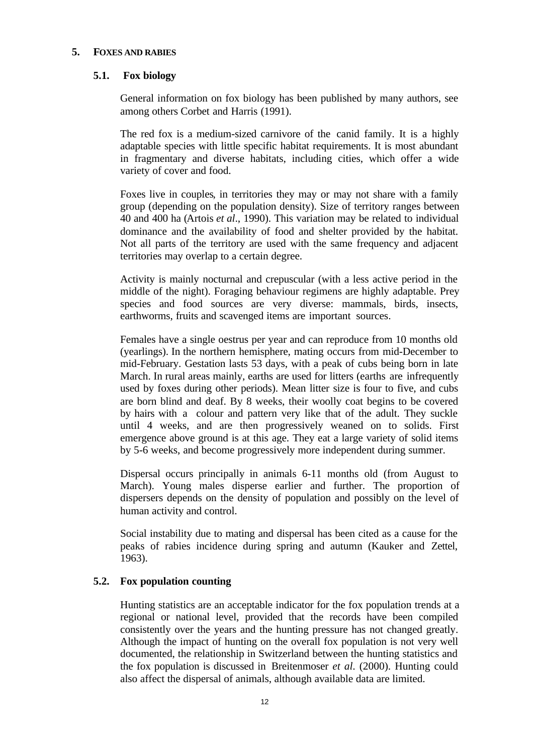## **5. FOXES AND RABIES**

## **5.1. Fox biology**

General information on fox biology has been published by many authors, see among others Corbet and Harris (1991).

The red fox is a medium-sized carnivore of the canid family. It is a highly adaptable species with little specific habitat requirements. It is most abundant in fragmentary and diverse habitats, including cities, which offer a wide variety of cover and food.

Foxes live in couples, in territories they may or may not share with a family group (depending on the population density). Size of territory ranges between 40 and 400 ha (Artois *et al*., 1990). This variation may be related to individual dominance and the availability of food and shelter provided by the habitat. Not all parts of the territory are used with the same frequency and adjacent territories may overlap to a certain degree.

Activity is mainly nocturnal and crepuscular (with a less active period in the middle of the night). Foraging behaviour regimens are highly adaptable. Prey species and food sources are very diverse: mammals, birds, insects, earthworms, fruits and scavenged items are important sources.

Females have a single oestrus per year and can reproduce from 10 months old (yearlings). In the northern hemisphere, mating occurs from mid-December to mid-February. Gestation lasts 53 days, with a peak of cubs being born in late March. In rural areas mainly, earths are used for litters (earths are infrequently used by foxes during other periods). Mean litter size is four to five, and cubs are born blind and deaf. By 8 weeks, their woolly coat begins to be covered by hairs with a colour and pattern very like that of the adult. They suckle until 4 weeks, and are then progressively weaned on to solids. First emergence above ground is at this age. They eat a large variety of solid items by 5-6 weeks, and become progressively more independent during summer.

Dispersal occurs principally in animals 6-11 months old (from August to March). Young males disperse earlier and further. The proportion of dispersers depends on the density of population and possibly on the level of human activity and control.

Social instability due to mating and dispersal has been cited as a cause for the peaks of rabies incidence during spring and autumn (Kauker and Zettel, 1963).

## **5.2. Fox population counting**

Hunting statistics are an acceptable indicator for the fox population trends at a regional or national level, provided that the records have been compiled consistently over the years and the hunting pressure has not changed greatly. Although the impact of hunting on the overall fox population is not very well documented, the relationship in Switzerland between the hunting statistics and the fox population is discussed in Breitenmoser *et al*. (2000). Hunting could also affect the dispersal of animals, although available data are limited.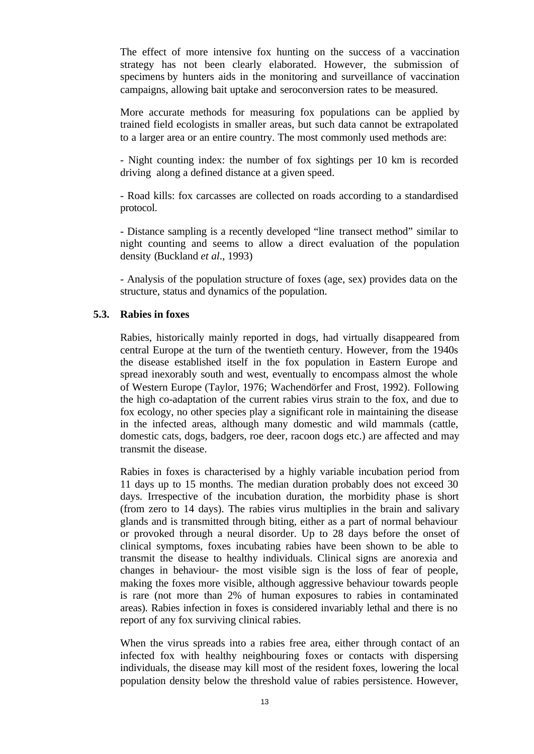The effect of more intensive fox hunting on the success of a vaccination strategy has not been clearly elaborated. However, the submission of specimens by hunters aids in the monitoring and surveillance of vaccination campaigns, allowing bait uptake and seroconversion rates to be measured.

More accurate methods for measuring fox populations can be applied by trained field ecologists in smaller areas, but such data cannot be extrapolated to a larger area or an entire country. The most commonly used methods are:

- Night counting index: the number of fox sightings per 10 km is recorded driving along a defined distance at a given speed.

- Road kills: fox carcasses are collected on roads according to a standardised protocol.

- Distance sampling is a recently developed "line transect method" similar to night counting and seems to allow a direct evaluation of the population density (Buckland *et al*., 1993)

- Analysis of the population structure of foxes (age, sex) provides data on the structure, status and dynamics of the population.

#### **5.3. Rabies in foxes**

Rabies, historically mainly reported in dogs, had virtually disappeared from central Europe at the turn of the twentieth century. However, from the 1940s the disease established itself in the fox population in Eastern Europe and spread inexorably south and west, eventually to encompass almost the whole of Western Europe (Taylor, 1976; Wachendörfer and Frost, 1992). Following the high co-adaptation of the current rabies virus strain to the fox, and due to fox ecology, no other species play a significant role in maintaining the disease in the infected areas, although many domestic and wild mammals (cattle, domestic cats, dogs, badgers, roe deer, racoon dogs etc.) are affected and may transmit the disease.

Rabies in foxes is characterised by a highly variable incubation period from 11 days up to 15 months. The median duration probably does not exceed 30 days. Irrespective of the incubation duration, the morbidity phase is short (from zero to 14 days). The rabies virus multiplies in the brain and salivary glands and is transmitted through biting, either as a part of normal behaviour or provoked through a neural disorder. Up to 28 days before the onset of clinical symptoms, foxes incubating rabies have been shown to be able to transmit the disease to healthy individuals. Clinical signs are anorexia and changes in behaviour- the most visible sign is the loss of fear of people, making the foxes more visible, although aggressive behaviour towards people is rare (not more than 2% of human exposures to rabies in contaminated areas). Rabies infection in foxes is considered invariably lethal and there is no report of any fox surviving clinical rabies.

When the virus spreads into a rabies free area, either through contact of an infected fox with healthy neighbouring foxes or contacts with dispersing individuals, the disease may kill most of the resident foxes, lowering the local population density below the threshold value of rabies persistence. However,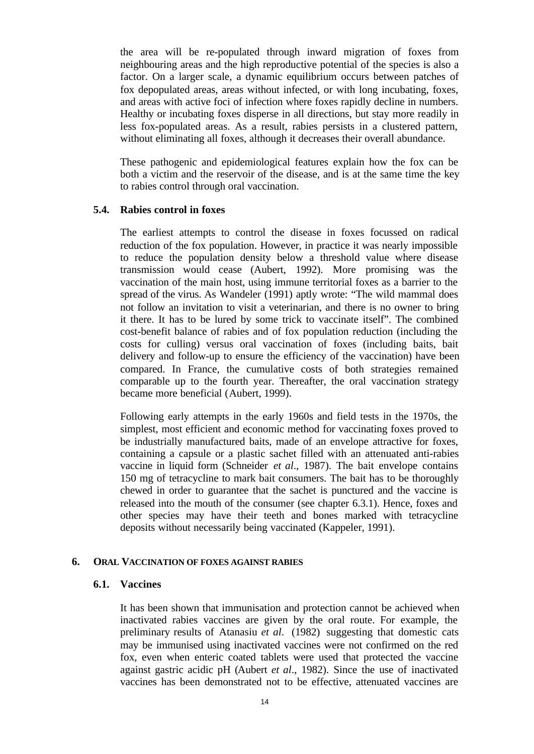the area will be re-populated through inward migration of foxes from neighbouring areas and the high reproductive potential of the species is also a factor. On a larger scale, a dynamic equilibrium occurs between patches of fox depopulated areas, areas without infected, or with long incubating, foxes, and areas with active foci of infection where foxes rapidly decline in numbers. Healthy or incubating foxes disperse in all directions, but stay more readily in less fox-populated areas. As a result, rabies persists in a clustered pattern, without eliminating all foxes, although it decreases their overall abundance.

These pathogenic and epidemiological features explain how the fox can be both a victim and the reservoir of the disease, and is at the same time the key to rabies control through oral vaccination.

#### **5.4. Rabies control in foxes**

The earliest attempts to control the disease in foxes focussed on radical reduction of the fox population. However, in practice it was nearly impossible to reduce the population density below a threshold value where disease transmission would cease (Aubert, 1992). More promising was the vaccination of the main host, using immune territorial foxes as a barrier to the spread of the virus. As Wandeler (1991) aptly wrote: "The wild mammal does not follow an invitation to visit a veterinarian, and there is no owner to bring it there. It has to be lured by some trick to vaccinate itself". The combined cost-benefit balance of rabies and of fox population reduction (including the costs for culling) versus oral vaccination of foxes (including baits, bait delivery and follow-up to ensure the efficiency of the vaccination) have been compared. In France, the cumulative costs of both strategies remained comparable up to the fourth year. Thereafter, the oral vaccination strategy became more beneficial (Aubert, 1999).

Following early attempts in the early 1960s and field tests in the 1970s, the simplest, most efficient and economic method for vaccinating foxes proved to be industrially manufactured baits, made of an envelope attractive for foxes, containing a capsule or a plastic sachet filled with an attenuated anti-rabies vaccine in liquid form (Schneider *et al*., 1987). The bait envelope contains 150 mg of tetracycline to mark bait consumers. The bait has to be thoroughly chewed in order to guarantee that the sachet is punctured and the vaccine is released into the mouth of the consumer (see chapter 6.3.1). Hence, foxes and other species may have their teeth and bones marked with tetracycline deposits without necessarily being vaccinated (Kappeler, 1991).

#### **6. ORAL VACCINATION OF FOXES AGAINST RABIES**

#### **6.1. Vaccines**

It has been shown that immunisation and protection cannot be achieved when inactivated rabies vaccines are given by the oral route. For example, the preliminary results of Atanasiu *et al*. (1982) suggesting that domestic cats may be immunised using inactivated vaccines were not confirmed on the red fox, even when enteric coated tablets were used that protected the vaccine against gastric acidic pH (Aubert *et al*., 1982). Since the use of inactivated vaccines has been demonstrated not to be effective, attenuated vaccines are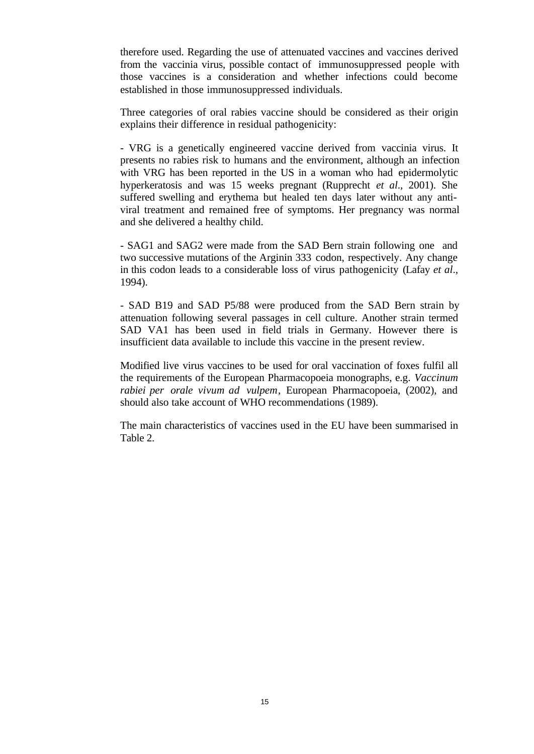therefore used. Regarding the use of attenuated vaccines and vaccines derived from the vaccinia virus, possible contact of immunosuppressed people with those vaccines is a consideration and whether infections could become established in those immunosuppressed individuals.

Three categories of oral rabies vaccine should be considered as their origin explains their difference in residual pathogenicity:

- VRG is a genetically engineered vaccine derived from vaccinia virus. It presents no rabies risk to humans and the environment, although an infection with VRG has been reported in the US in a woman who had epidermolytic hyperkeratosis and was 15 weeks pregnant (Rupprecht *et al*., 2001). She suffered swelling and erythema but healed ten days later without any antiviral treatment and remained free of symptoms. Her pregnancy was normal and she delivered a healthy child.

- SAG1 and SAG2 were made from the SAD Bern strain following one and two successive mutations of the Arginin 333 codon, respectively. Any change in this codon leads to a considerable loss of virus pathogenicity (Lafay *et al*., 1994).

- SAD B19 and SAD P5/88 were produced from the SAD Bern strain by attenuation following several passages in cell culture. Another strain termed SAD VA1 has been used in field trials in Germany. However there is insufficient data available to include this vaccine in the present review.

Modified live virus vaccines to be used for oral vaccination of foxes fulfil all the requirements of the European Pharmacopoeia monographs, e.g. *Vaccinum rabiei per orale vivum ad vulpem*, European Pharmacopoeia, (2002), and should also take account of WHO recommendations (1989).

The main characteristics of vaccines used in the EU have been summarised in Table 2.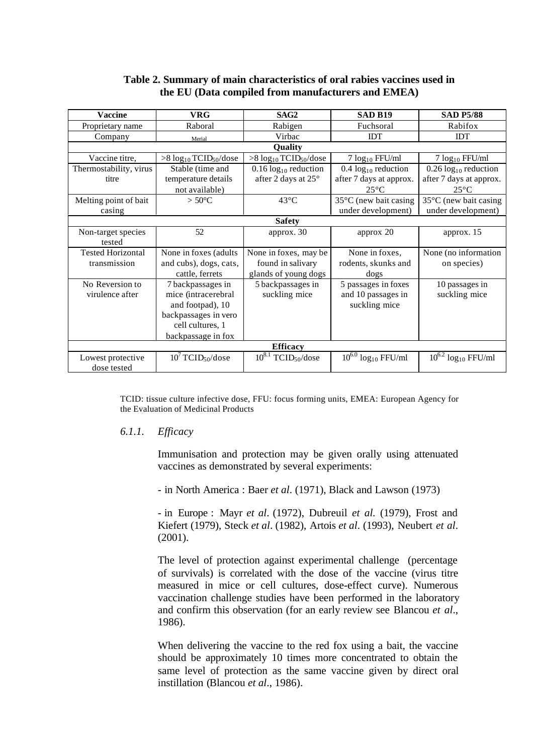## **Table 2. Summary of main characteristics of oral rabies vaccines used in the EU (Data compiled from manufacturers and EMEA)**

| <b>Vaccine</b>                   | <b>VRG</b>                      | SAG <sub>2</sub>                       | <b>SAD B19</b>              | <b>SAD P5/88</b>                    |
|----------------------------------|---------------------------------|----------------------------------------|-----------------------------|-------------------------------------|
| Proprietary name                 | Raboral                         | Rabigen                                | Fuchsoral                   | Rabifox                             |
| Company                          | Merial                          | Virbac                                 | <b>IDT</b>                  | <b>IDT</b>                          |
|                                  |                                 | Quality                                |                             |                                     |
| Vaccine titre,                   | $>8 \log_{10} TCID_{50}/dose$   | $>8 \log_{10} TCID_{50}/dose$          | $7 \log_{10}$ FFU/ml        | $7 \log_{10}$ FFU/ml                |
| Thermostability, virus           | Stable (time and                | $0.16 \log_{10}$ reduction             | $0.4 \log_{10}$ reduction   | $0.26 \log_{10}$ reduction          |
| titre                            | temperature details             | after 2 days at 25°                    | after 7 days at approx.     | after 7 days at approx.             |
|                                  | not available)                  |                                        | $25^{\circ}$ C              | $25^{\circ}$ C                      |
| Melting point of bait            | $> 50^{\circ}$ C                | $43^{\circ}$ C                         | 35°C (new bait casing       | 35°C (new bait casing               |
| casing                           |                                 |                                        | under development)          | under development)                  |
|                                  |                                 | <b>Safety</b>                          |                             |                                     |
| Non-target species               | 52                              | approx. 30                             | approx 20                   | approx. 15                          |
| tested                           |                                 |                                        |                             |                                     |
| <b>Tested Horizontal</b>         | None in foxes (adults)          | None in foxes, may be                  | None in foxes,              | None (no information                |
| transmission                     | and cubs), dogs, cats,          | found in salivary                      | rodents, skunks and         | on species)                         |
|                                  | cattle, ferrets                 | glands of young dogs                   | dogs                        |                                     |
| No Reversion to                  | 7 backpassages in               | 5 backpassages in                      | 5 passages in foxes         | 10 passages in                      |
| virulence after                  | mice (intracerebral             | suckling mice                          | and 10 passages in          | suckling mice                       |
|                                  | and footpad), 10                |                                        | suckling mice               |                                     |
|                                  | backpassages in vero            |                                        |                             |                                     |
|                                  | cell cultures, 1                |                                        |                             |                                     |
|                                  | backpassage in fox              |                                        |                             |                                     |
|                                  |                                 | <b>Efficacy</b>                        |                             |                                     |
| Lowest protective<br>dose tested | $10^7$ TCID <sub>50</sub> /dose | $10^{8.1}$<br>TCID <sub>50</sub> /dose | $10^{6.0} \log_{10}$ FFU/ml | $10^{6.2}$ log <sub>10</sub> FFU/ml |

TCID: tissue culture infective dose, FFU: focus forming units, EMEA: European Agency for the Evaluation of Medicinal Products

#### *6.1.1. Efficacy*

Immunisation and protection may be given orally using attenuated vaccines as demonstrated by several experiments:

- in North America : Baer *et al*. (1971), Black and Lawson (1973)

- in Europe : Mayr *et al*. (1972), Dubreuil *et al.* (1979), Frost and Kiefert (1979), Steck *et al*. (1982), Artois *et al*. (1993), Neubert *et al*. (2001).

The level of protection against experimental challenge (percentage of survivals) is correlated with the dose of the vaccine (virus titre measured in mice or cell cultures, dose-effect curve). Numerous vaccination challenge studies have been performed in the laboratory and confirm this observation (for an early review see Blancou *et al*., 1986).

When delivering the vaccine to the red fox using a bait, the vaccine should be approximately 10 times more concentrated to obtain the same level of protection as the same vaccine given by direct oral instillation (Blancou *et al*., 1986).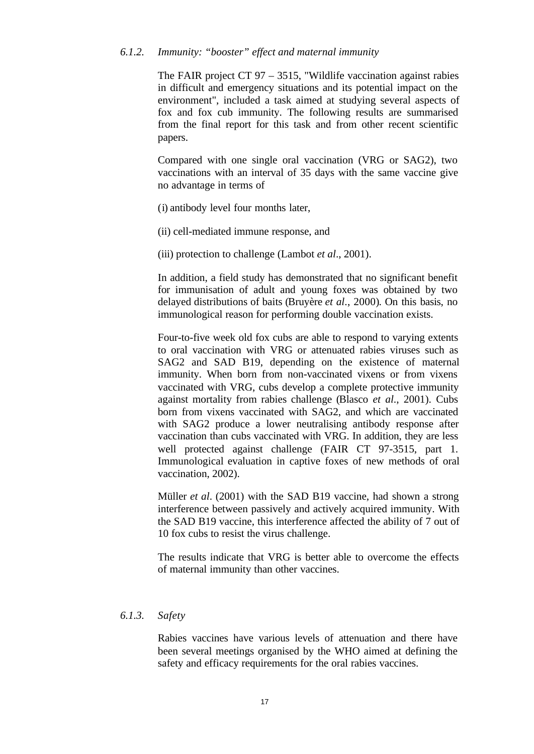#### *6.1.2. Immunity: "booster" effect and maternal immunity*

The FAIR project CT 97 – 3515, "Wildlife vaccination against rabies in difficult and emergency situations and its potential impact on the environment", included a task aimed at studying several aspects of fox and fox cub immunity. The following results are summarised from the final report for this task and from other recent scientific papers.

Compared with one single oral vaccination (VRG or SAG2), two vaccinations with an interval of 35 days with the same vaccine give no advantage in terms of

- (i) antibody level four months later,
- (ii) cell-mediated immune response, and
- (iii) protection to challenge (Lambot *et al*., 2001).

In addition, a field study has demonstrated that no significant benefit for immunisation of adult and young foxes was obtained by two delayed distributions of baits (Bruyère *et al*., 2000). On this basis, no immunological reason for performing double vaccination exists.

Four-to-five week old fox cubs are able to respond to varying extents to oral vaccination with VRG or attenuated rabies viruses such as SAG2 and SAD B19, depending on the existence of maternal immunity. When born from non-vaccinated vixens or from vixens vaccinated with VRG, cubs develop a complete protective immunity against mortality from rabies challenge (Blasco *et al*., 2001). Cubs born from vixens vaccinated with SAG2, and which are vaccinated with SAG2 produce a lower neutralising antibody response after vaccination than cubs vaccinated with VRG. In addition, they are less well protected against challenge (FAIR CT 97-3515, part 1. Immunological evaluation in captive foxes of new methods of oral vaccination, 2002).

Müller *et al*. (2001) with the SAD B19 vaccine, had shown a strong interference between passively and actively acquired immunity. With the SAD B19 vaccine, this interference affected the ability of 7 out of 10 fox cubs to resist the virus challenge.

The results indicate that VRG is better able to overcome the effects of maternal immunity than other vaccines.

#### *6.1.3. Safety*

Rabies vaccines have various levels of attenuation and there have been several meetings organised by the WHO aimed at defining the safety and efficacy requirements for the oral rabies vaccines.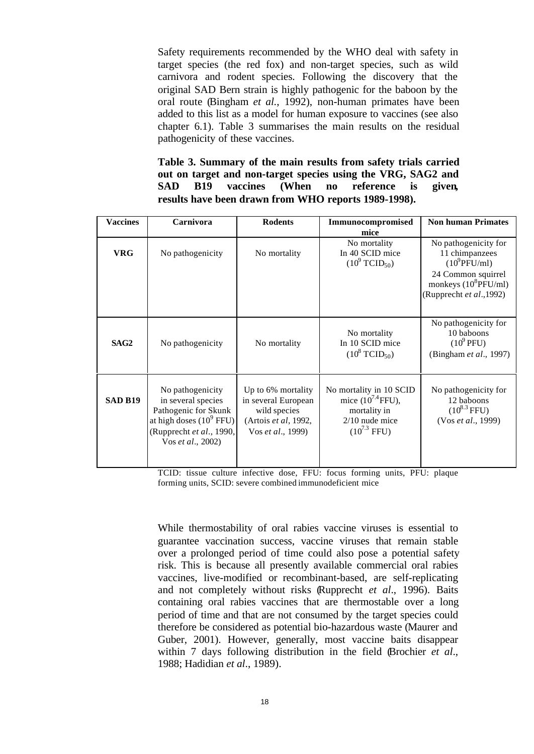Safety requirements recommended by the WHO deal with safety in target species (the red fox) and non-target species, such as wild carnivora and rodent species. Following the discovery that the original SAD Bern strain is highly pathogenic for the baboon by the oral route (Bingham *et al.*, 1992), non-human primates have been added to this list as a model for human exposure to vaccines (see also chapter 6.1). Table 3 summarises the main results on the residual pathogenicity of these vaccines.

**Table 3. Summary of the main results from safety trials carried out on target and non-target species using the VRG, SAG2 and SAD B19 vaccines (When no reference is given, results have been drawn from WHO reports 1989-1998).**

| <b>Vaccines</b> | Carnivora                                                                                                                                             | <b>Rodents</b>                                                                                         | Immunocompromised<br>mice                                                                                 | <b>Non human Primates</b>                                                                                                              |
|-----------------|-------------------------------------------------------------------------------------------------------------------------------------------------------|--------------------------------------------------------------------------------------------------------|-----------------------------------------------------------------------------------------------------------|----------------------------------------------------------------------------------------------------------------------------------------|
| <b>VRG</b>      | No pathogenicity                                                                                                                                      | No mortality                                                                                           | No mortality<br>In 40 SCID mice<br>$(10^9 \text{TCID}_{50})$                                              | No pathogenicity for<br>11 chimpanzees<br>$(10^9$ PFU/ml)<br>24 Common squirrel<br>monkeys $(10^8$ PFU/ml)<br>(Rupprecht et al., 1992) |
| SAG2            | No pathogenicity                                                                                                                                      | No mortality                                                                                           | No mortality<br>In 10 SCID mice<br>$(10^8 \text{ TCID}_{50})$                                             | No pathogenicity for<br>10 baboons<br>$(10^9$ PFU)<br>(Bingham et al., 1997)                                                           |
| SAD B19         | No pathogenicity<br>in several species<br>Pathogenic for Skunk<br>at high doses $(10^9 \text{ FFU})$<br>(Rupprecht et al., 1990,<br>Vos et al., 2002) | Up to 6% mortality<br>in several European<br>wild species<br>(Artois et al, 1992,<br>Vos et al., 1999) | No mortality in 10 SCID<br>mice $(10^{7.4}$ FFU),<br>mortality in<br>$2/10$ nude mice<br>$(10^{7.3} FFU)$ | No pathogenicity for<br>12 baboons<br>$(10^{8.3} FFU)$<br>(Vos et al., 1999)                                                           |

TCID: tissue culture infective dose, FFU: focus forming units, PFU: plaque forming units, SCID: severe combined immunodeficient mice

While thermostability of oral rabies vaccine viruses is essential to guarantee vaccination success, vaccine viruses that remain stable over a prolonged period of time could also pose a potential safety risk. This is because all presently available commercial oral rabies vaccines, live-modified or recombinant-based, are self-replicating and not completely without risks (Rupprecht *et al*., 1996). Baits containing oral rabies vaccines that are thermostable over a long period of time and that are not consumed by the target species could therefore be considered as potential bio-hazardous waste (Maurer and Guber, 2001). However, generally, most vaccine baits disappear within 7 days following distribution in the field (Brochier *et al*., 1988; Hadidian *et al*., 1989).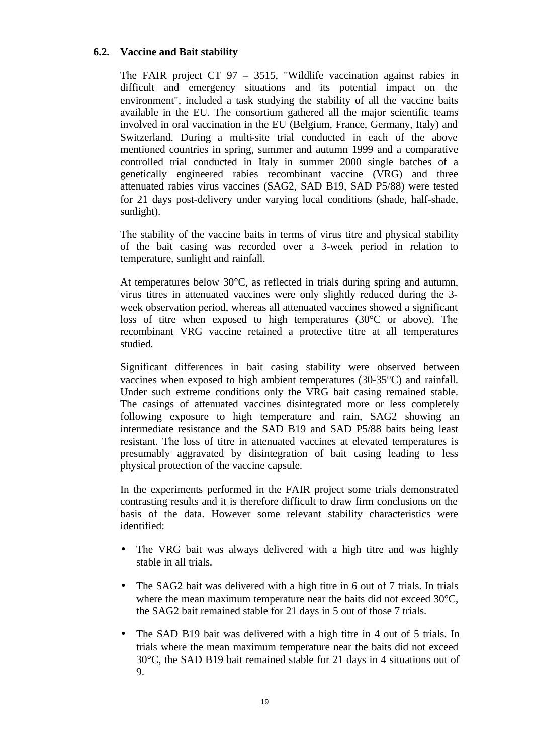## **6.2. Vaccine and Bait stability**

The FAIR project CT 97 – 3515, "Wildlife vaccination against rabies in difficult and emergency situations and its potential impact on the environment", included a task studying the stability of all the vaccine baits available in the EU. The consortium gathered all the major scientific teams involved in oral vaccination in the EU (Belgium, France, Germany, Italy) and Switzerland. During a multi-site trial conducted in each of the above mentioned countries in spring, summer and autumn 1999 and a comparative controlled trial conducted in Italy in summer 2000 single batches of a genetically engineered rabies recombinant vaccine (VRG) and three attenuated rabies virus vaccines (SAG2, SAD B19, SAD P5/88) were tested for 21 days post-delivery under varying local conditions (shade, half-shade, sunlight).

The stability of the vaccine baits in terms of virus titre and physical stability of the bait casing was recorded over a 3-week period in relation to temperature, sunlight and rainfall.

At temperatures below 30°C, as reflected in trials during spring and autumn, virus titres in attenuated vaccines were only slightly reduced during the 3 week observation period, whereas all attenuated vaccines showed a significant loss of titre when exposed to high temperatures (30°C or above). The recombinant VRG vaccine retained a protective titre at all temperatures studied.

Significant differences in bait casing stability were observed between vaccines when exposed to high ambient temperatures (30-35°C) and rainfall. Under such extreme conditions only the VRG bait casing remained stable. The casings of attenuated vaccines disintegrated more or less completely following exposure to high temperature and rain, SAG2 showing an intermediate resistance and the SAD B19 and SAD P5/88 baits being least resistant. The loss of titre in attenuated vaccines at elevated temperatures is presumably aggravated by disintegration of bait casing leading to less physical protection of the vaccine capsule.

In the experiments performed in the FAIR project some trials demonstrated contrasting results and it is therefore difficult to draw firm conclusions on the basis of the data. However some relevant stability characteristics were identified:

- The VRG bait was always delivered with a high titre and was highly stable in all trials.
- The SAG2 bait was delivered with a high titre in 6 out of 7 trials. In trials where the mean maximum temperature near the baits did not exceed 30<sup>o</sup>C, the SAG2 bait remained stable for 21 days in 5 out of those 7 trials.
- The SAD B19 bait was delivered with a high titre in 4 out of 5 trials. In trials where the mean maximum temperature near the baits did not exceed 30°C, the SAD B19 bait remained stable for 21 days in 4 situations out of 9.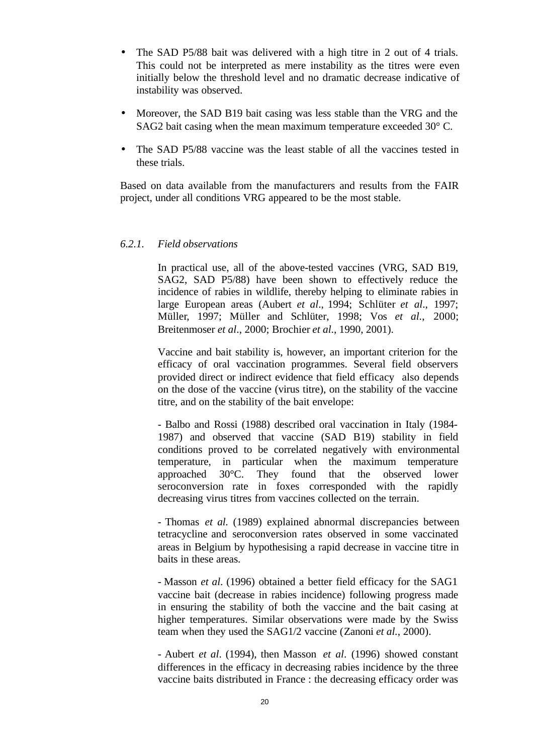- The SAD P5/88 bait was delivered with a high titre in 2 out of 4 trials. This could not be interpreted as mere instability as the titres were even initially below the threshold level and no dramatic decrease indicative of instability was observed.
- Moreover, the SAD B19 bait casing was less stable than the VRG and the SAG2 bait casing when the mean maximum temperature exceeded 30° C.
- The SAD P5/88 vaccine was the least stable of all the vaccines tested in these trials.

Based on data available from the manufacturers and results from the FAIR project, under all conditions VRG appeared to be the most stable.

#### *6.2.1. Field observations*

In practical use, all of the above-tested vaccines (VRG, SAD B19, SAG2, SAD P5/88) have been shown to effectively reduce the incidence of rabies in wildlife, thereby helping to eliminate rabies in large European areas (Aubert *et al*., 1994; Schlüter *et al*., 1997; Müller, 1997; Müller and Schlüter, 1998; Vos *et al*., 2000; Breitenmoser *et al*., 2000; Brochier *et al*., 1990, 2001).

Vaccine and bait stability is, however, an important criterion for the efficacy of oral vaccination programmes. Several field observers provided direct or indirect evidence that field efficacy also depends on the dose of the vaccine (virus titre), on the stability of the vaccine titre, and on the stability of the bait envelope:

- Balbo and Rossi (1988) described oral vaccination in Italy (1984- 1987) and observed that vaccine (SAD B19) stability in field conditions proved to be correlated negatively with environmental temperature, in particular when the maximum temperature approached 30°C. They found that the observed lower seroconversion rate in foxes corresponded with the rapidly decreasing virus titres from vaccines collected on the terrain.

- Thomas *et al.* (1989) explained abnormal discrepancies between tetracycline and seroconversion rates observed in some vaccinated areas in Belgium by hypothesising a rapid decrease in vaccine titre in baits in these areas.

- Masson *et al*. (1996) obtained a better field efficacy for the SAG1 vaccine bait (decrease in rabies incidence) following progress made in ensuring the stability of both the vaccine and the bait casing at higher temperatures. Similar observations were made by the Swiss team when they used the SAG1/2 vaccine (Zanoni *et al.*, 2000).

- Aubert *et al*. (1994), then Masson *et al*. (1996) showed constant differences in the efficacy in decreasing rabies incidence by the three vaccine baits distributed in France : the decreasing efficacy order was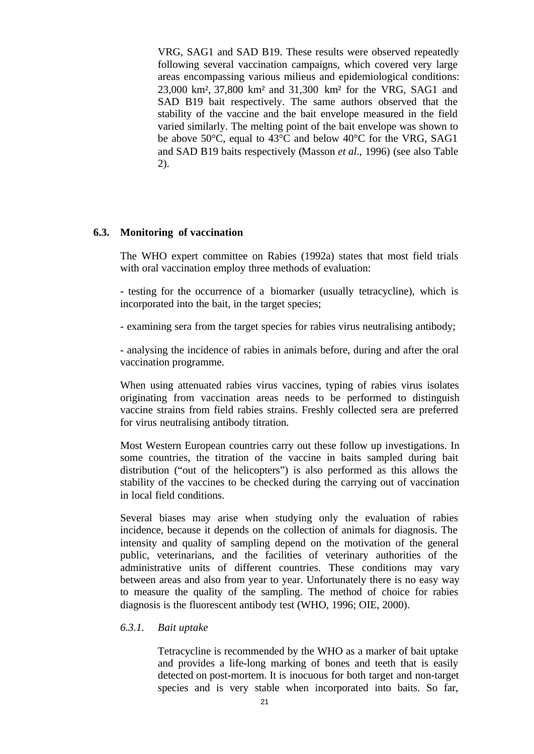VRG, SAG1 and SAD B19. These results were observed repeatedly following several vaccination campaigns, which covered very large areas encompassing various milieus and epidemiological conditions: 23,000 km², 37,800 km² and 31,300 km² for the VRG, SAG1 and SAD B19 bait respectively. The same authors observed that the stability of the vaccine and the bait envelope measured in the field varied similarly. The melting point of the bait envelope was shown to be above 50°C, equal to 43°C and below 40°C for the VRG, SAG1 and SAD B19 baits respectively (Masson *et al*., 1996) (see also Table 2).

## **6.3. Monitoring of vaccination**

The WHO expert committee on Rabies (1992a) states that most field trials with oral vaccination employ three methods of evaluation:

- testing for the occurrence of a biomarker (usually tetracycline), which is incorporated into the bait, in the target species;

- examining sera from the target species for rabies virus neutralising antibody;

- analysing the incidence of rabies in animals before, during and after the oral vaccination programme.

When using attenuated rabies virus vaccines, typing of rabies virus isolates originating from vaccination areas needs to be performed to distinguish vaccine strains from field rabies strains. Freshly collected sera are preferred for virus neutralising antibody titration.

Most Western European countries carry out these follow up investigations. In some countries, the titration of the vaccine in baits sampled during bait distribution ("out of the helicopters") is also performed as this allows the stability of the vaccines to be checked during the carrying out of vaccination in local field conditions.

Several biases may arise when studying only the evaluation of rabies incidence, because it depends on the collection of animals for diagnosis. The intensity and quality of sampling depend on the motivation of the general public, veterinarians, and the facilities of veterinary authorities of the administrative units of different countries. These conditions may vary between areas and also from year to year. Unfortunately there is no easy way to measure the quality of the sampling. The method of choice for rabies diagnosis is the fluorescent antibody test (WHO, 1996; OIE, 2000).

#### *6.3.1. Bait uptake*

Tetracycline is recommended by the WHO as a marker of bait uptake and provides a life-long marking of bones and teeth that is easily detected on post-mortem. It is inocuous for both target and non-target species and is very stable when incorporated into baits. So far,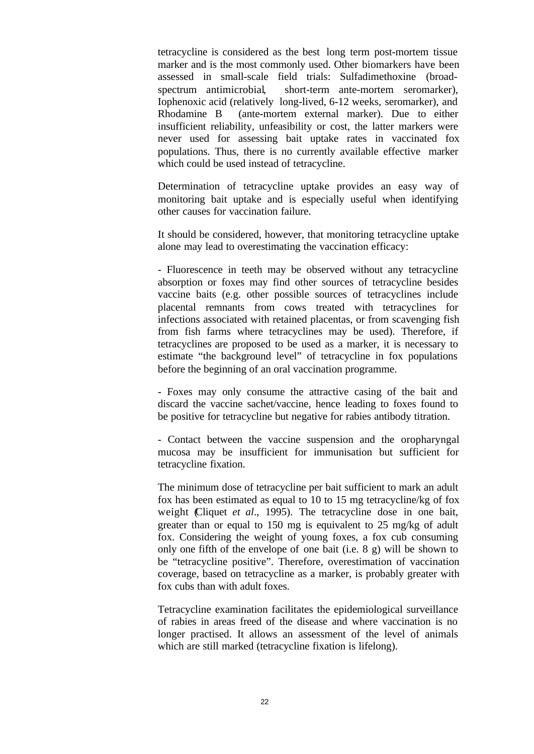tetracycline is considered as the best long term post-mortem tissue marker and is the most commonly used. Other biomarkers have been assessed in small-scale field trials: Sulfadimethoxine (broadspectrum antimicrobial, short-term ante-mortem seromarker), Iophenoxic acid (relatively long-lived, 6-12 weeks, seromarker), and Rhodamine B (ante-mortem external marker). Due to either insufficient reliability, unfeasibility or cost, the latter markers were never used for assessing bait uptake rates in vaccinated fox populations. Thus, there is no currently available effective marker which could be used instead of tetracycline.

Determination of tetracycline uptake provides an easy way of monitoring bait uptake and is especially useful when identifying other causes for vaccination failure.

It should be considered, however, that monitoring tetracycline uptake alone may lead to overestimating the vaccination efficacy:

- Fluorescence in teeth may be observed without any tetracycline absorption or foxes may find other sources of tetracycline besides vaccine baits (e.g. other possible sources of tetracyclines include placental remnants from cows treated with tetracyclines for infections associated with retained placentas, or from scavenging fish from fish farms where tetracyclines may be used). Therefore, if tetracyclines are proposed to be used as a marker, it is necessary to estimate "the background level" of tetracycline in fox populations before the beginning of an oral vaccination programme.

- Foxes may only consume the attractive casing of the bait and discard the vaccine sachet/vaccine, hence leading to foxes found to be positive for tetracycline but negative for rabies antibody titration.

- Contact between the vaccine suspension and the oropharyngal mucosa may be insufficient for immunisation but sufficient for tetracycline fixation.

The minimum dose of tetracycline per bait sufficient to mark an adult fox has been estimated as equal to 10 to 15 mg tetracycline/kg of fox weight (Cliquet *et al*., 1995). The tetracycline dose in one bait, greater than or equal to 150 mg is equivalent to 25 mg/kg of adult fox. Considering the weight of young foxes, a fox cub consuming only one fifth of the envelope of one bait (i.e. 8 g) will be shown to be "tetracycline positive". Therefore, overestimation of vaccination coverage, based on tetracycline as a marker, is probably greater with fox cubs than with adult foxes.

Tetracycline examination facilitates the epidemiological surveillance of rabies in areas freed of the disease and where vaccination is no longer practised. It allows an assessment of the level of animals which are still marked (tetracycline fixation is lifelong).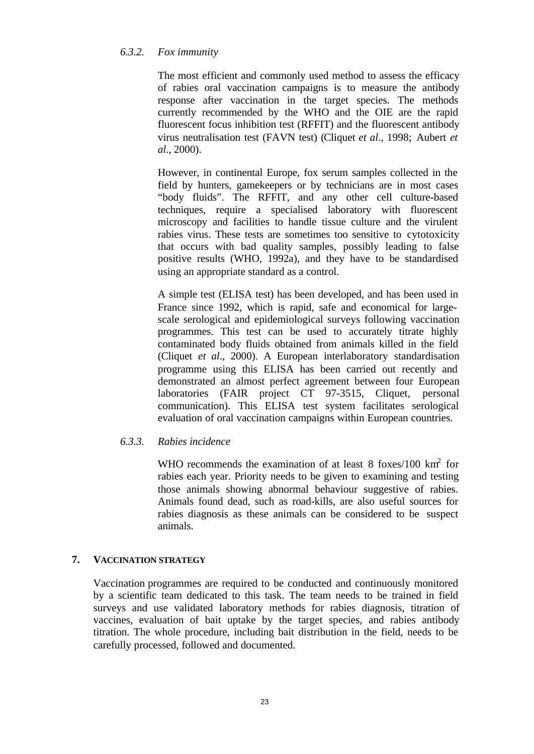## *6.3.2. Fox immunity*

The most efficient and commonly used method to assess the efficacy of rabies oral vaccination campaigns is to measure the antibody response after vaccination in the target species. The methods currently recommended by the WHO and the OIE are the rapid fluorescent focus inhibition test (RFFIT) and the fluorescent antibody virus neutralisation test (FAVN test) (Cliquet *et al*., 1998; Aubert *et al*., 2000).

However, in continental Europe, fox serum samples collected in the field by hunters, gamekeepers or by technicians are in most cases "body fluids". The RFFIT, and any other cell culture-based techniques, require a specialised laboratory with fluorescent microscopy and facilities to handle tissue culture and the virulent rabies virus. These tests are sometimes too sensitive to cytotoxicity that occurs with bad quality samples, possibly leading to false positive results (WHO, 1992a), and they have to be standardised using an appropriate standard as a control.

A simple test (ELISA test) has been developed, and has been used in France since 1992, which is rapid, safe and economical for largescale serological and epidemiological surveys following vaccination programmes. This test can be used to accurately titrate highly contaminated body fluids obtained from animals killed in the field (Cliquet *et al*., 2000). A European interlaboratory standardisation programme using this ELISA has been carried out recently and demonstrated an almost perfect agreement between four European laboratories (FAIR project CT 97-3515, Cliquet, personal communication). This ELISA test system facilitates serological evaluation of oral vaccination campaigns within European countries.

## *6.3.3. Rabies incidence*

WHO recommends the examination of at least  $8$  foxes/100 km<sup>2</sup> for rabies each year. Priority needs to be given to examining and testing those animals showing abnormal behaviour suggestive of rabies. Animals found dead, such as road-kills, are also useful sources for rabies diagnosis as these animals can be considered to be suspect animals.

## **7. VACCINATION STRATEGY**

Vaccination programmes are required to be conducted and continuously monitored by a scientific team dedicated to this task. The team needs to be trained in field surveys and use validated laboratory methods for rabies diagnosis, titration of vaccines, evaluation of bait uptake by the target species, and rabies antibody titration. The whole procedure, including bait distribution in the field, needs to be carefully processed, followed and documented.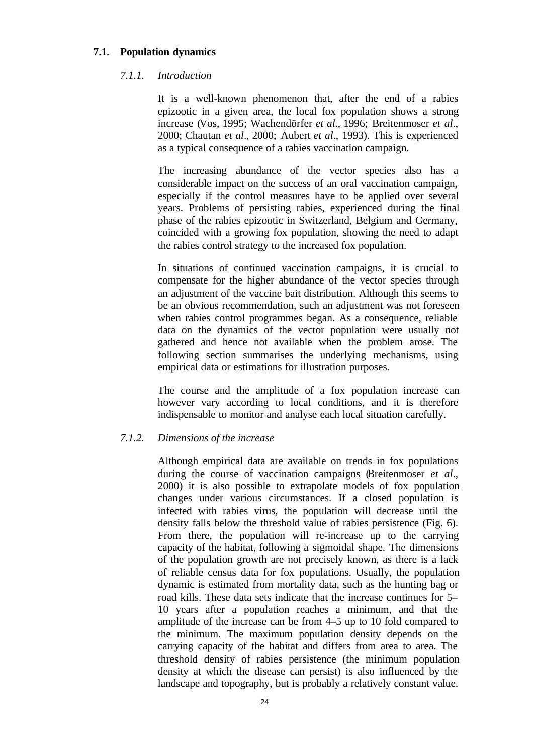## **7.1. Population dynamics**

## *7.1.1. Introduction*

It is a well-known phenomenon that, after the end of a rabies epizootic in a given area, the local fox population shows a strong increase (Vos, 1995; Wachendörfer *et al*., 1996; Breitenmoser *et al*., 2000; Chautan *et al*., 2000; Aubert *et al*., 1993). This is experienced as a typical consequence of a rabies vaccination campaign.

The increasing abundance of the vector species also has a considerable impact on the success of an oral vaccination campaign, especially if the control measures have to be applied over several years. Problems of persisting rabies, experienced during the final phase of the rabies epizootic in Switzerland, Belgium and Germany, coincided with a growing fox population, showing the need to adapt the rabies control strategy to the increased fox population.

In situations of continued vaccination campaigns, it is crucial to compensate for the higher abundance of the vector species through an adjustment of the vaccine bait distribution. Although this seems to be an obvious recommendation, such an adjustment was not foreseen when rabies control programmes began. As a consequence, reliable data on the dynamics of the vector population were usually not gathered and hence not available when the problem arose. The following section summarises the underlying mechanisms, using empirical data or estimations for illustration purposes.

The course and the amplitude of a fox population increase can however vary according to local conditions, and it is therefore indispensable to monitor and analyse each local situation carefully.

## *7.1.2. Dimensions of the increase*

Although empirical data are available on trends in fox populations during the course of vaccination campaigns (Breitenmoser *et al*., 2000) it is also possible to extrapolate models of fox population changes under various circumstances. If a closed population is infected with rabies virus, the population will decrease until the density falls below the threshold value of rabies persistence (Fig. 6). From there, the population will re-increase up to the carrying capacity of the habitat, following a sigmoidal shape. The dimensions of the population growth are not precisely known, as there is a lack of reliable census data for fox populations. Usually, the population dynamic is estimated from mortality data, such as the hunting bag or road kills. These data sets indicate that the increase continues for 5– 10 years after a population reaches a minimum, and that the amplitude of the increase can be from 4–5 up to 10 fold compared to the minimum. The maximum population density depends on the carrying capacity of the habitat and differs from area to area. The threshold density of rabies persistence (the minimum population density at which the disease can persist) is also influenced by the landscape and topography, but is probably a relatively constant value.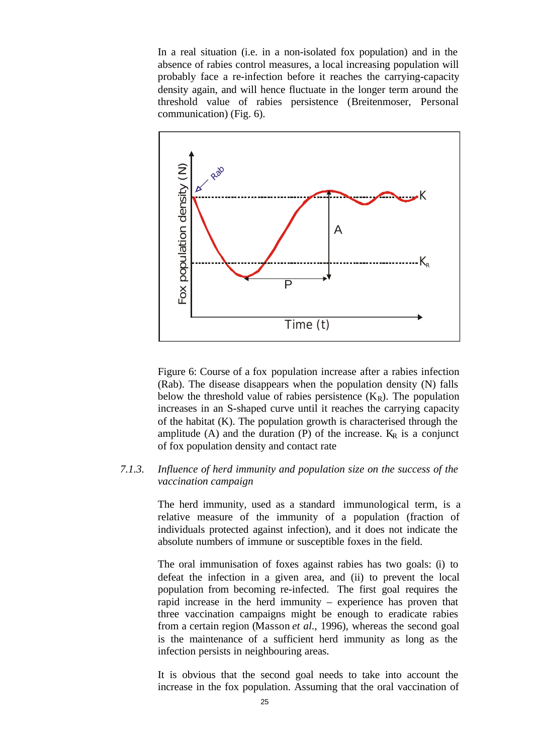In a real situation (i.e. in a non-isolated fox population) and in the absence of rabies control measures, a local increasing population will probably face a re-infection before it reaches the carrying-capacity density again, and will hence fluctuate in the longer term around the threshold value of rabies persistence (Breitenmoser, Personal communication) (Fig. 6).



Figure 6: Course of a fox population increase after a rabies infection (Rab). The disease disappears when the population density (N) falls below the threshold value of rabies persistence  $(K_R)$ . The population increases in an S-shaped curve until it reaches the carrying capacity of the habitat (K). The population growth is characterised through the amplitude (A) and the duration (P) of the increase.  $K_R$  is a conjunct of fox population density and contact rate

## *7.1.3. Influence of herd immunity and population size on the success of the vaccination campaign*

The herd immunity, used as a standard immunological term, is a relative measure of the immunity of a population (fraction of individuals protected against infection), and it does not indicate the absolute numbers of immune or susceptible foxes in the field.

The oral immunisation of foxes against rabies has two goals: (i) to defeat the infection in a given area, and (ii) to prevent the local population from becoming re-infected. The first goal requires the rapid increase in the herd immunity – experience has proven that three vaccination campaigns might be enough to eradicate rabies from a certain region (Masson *et al*., 1996), whereas the second goal is the maintenance of a sufficient herd immunity as long as the infection persists in neighbouring areas.

It is obvious that the second goal needs to take into account the increase in the fox population. Assuming that the oral vaccination of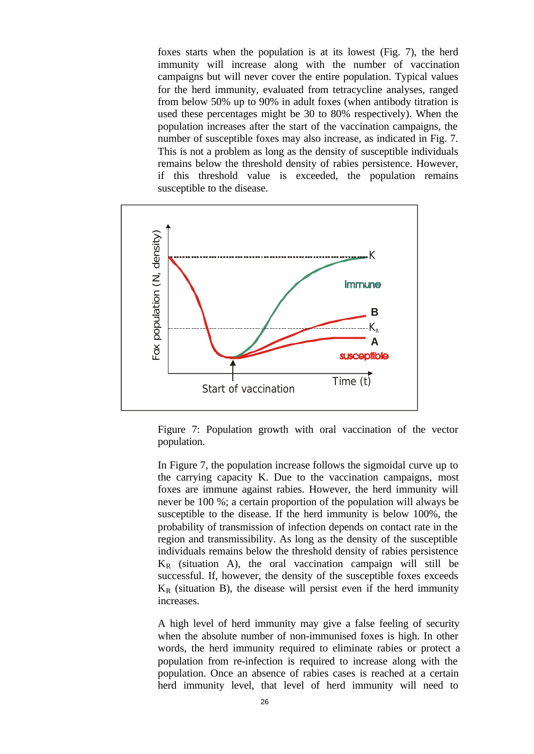foxes starts when the population is at its lowest (Fig. 7), the herd immunity will increase along with the number of vaccination campaigns but will never cover the entire population. Typical values for the herd immunity, evaluated from tetracycline analyses, ranged from below 50% up to 90% in adult foxes (when antibody titration is used these percentages might be 30 to 80% respectively). When the population increases after the start of the vaccination campaigns, the number of susceptible foxes may also increase, as indicated in Fig. 7. This is not a problem as long as the density of susceptible individuals remains below the threshold density of rabies persistence. However, if this threshold value is exceeded, the population remains susceptible to the disease.



Figure 7: Population growth with oral vaccination of the vector population.

In Figure 7, the population increase follows the sigmoidal curve up to the carrying capacity K. Due to the vaccination campaigns, most foxes are immune against rabies. However, the herd immunity will never be 100 %; a certain proportion of the population will always be susceptible to the disease. If the herd immunity is below 100%, the probability of transmission of infection depends on contact rate in the region and transmissibility. As long as the density of the susceptible individuals remains below the threshold density of rabies persistence  $K_R$  (situation A), the oral vaccination campaign will still be successful. If, however, the density of the susceptible foxes exceeds  $K_R$  (situation B), the disease will persist even if the herd immunity increases.

A high level of herd immunity may give a false feeling of security when the absolute number of non-immunised foxes is high. In other words, the herd immunity required to eliminate rabies or protect a population from re-infection is required to increase along with the population. Once an absence of rabies cases is reached at a certain herd immunity level, that level of herd immunity will need to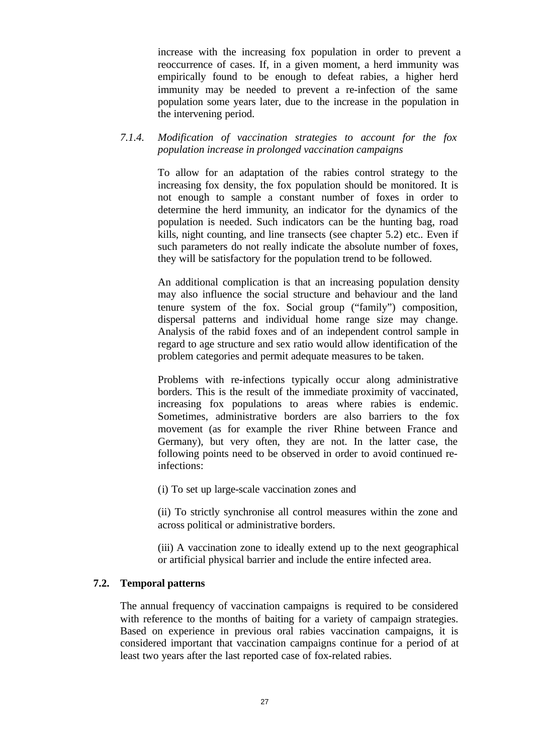increase with the increasing fox population in order to prevent a reoccurrence of cases. If, in a given moment, a herd immunity was empirically found to be enough to defeat rabies, a higher herd immunity may be needed to prevent a re-infection of the same population some years later, due to the increase in the population in the intervening period.

## *7.1.4. Modification of vaccination strategies to account for the fox population increase in prolonged vaccination campaigns*

To allow for an adaptation of the rabies control strategy to the increasing fox density, the fox population should be monitored. It is not enough to sample a constant number of foxes in order to determine the herd immunity, an indicator for the dynamics of the population is needed. Such indicators can be the hunting bag, road kills, night counting, and line transects (see chapter 5.2) etc.. Even if such parameters do not really indicate the absolute number of foxes, they will be satisfactory for the population trend to be followed.

An additional complication is that an increasing population density may also influence the social structure and behaviour and the land tenure system of the fox. Social group ("family") composition, dispersal patterns and individual home range size may change. Analysis of the rabid foxes and of an independent control sample in regard to age structure and sex ratio would allow identification of the problem categories and permit adequate measures to be taken.

Problems with re-infections typically occur along administrative borders. This is the result of the immediate proximity of vaccinated, increasing fox populations to areas where rabies is endemic. Sometimes, administrative borders are also barriers to the fox movement (as for example the river Rhine between France and Germany), but very often, they are not. In the latter case, the following points need to be observed in order to avoid continued reinfections:

(i) To set up large-scale vaccination zones and

(ii) To strictly synchronise all control measures within the zone and across political or administrative borders.

(iii) A vaccination zone to ideally extend up to the next geographical or artificial physical barrier and include the entire infected area.

## **7.2. Temporal patterns**

The annual frequency of vaccination campaigns is required to be considered with reference to the months of baiting for a variety of campaign strategies. Based on experience in previous oral rabies vaccination campaigns, it is considered important that vaccination campaigns continue for a period of at least two years after the last reported case of fox-related rabies.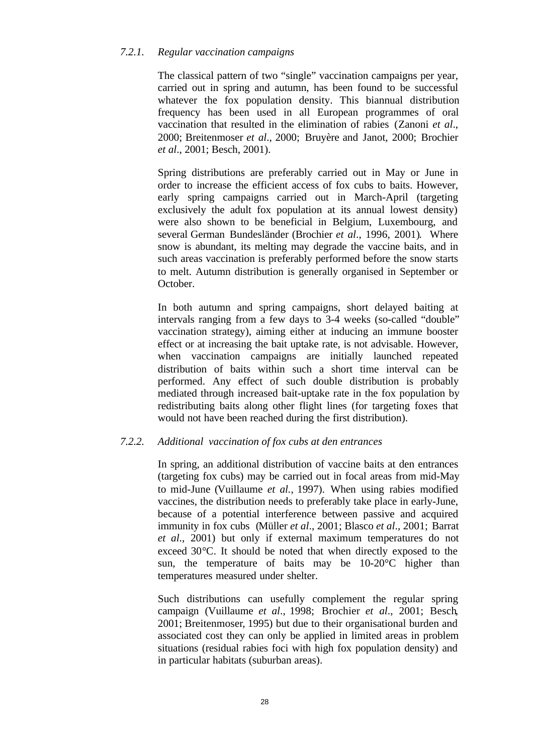## *7.2.1. Regular vaccination campaigns*

The classical pattern of two "single" vaccination campaigns per year, carried out in spring and autumn, has been found to be successful whatever the fox population density. This biannual distribution frequency has been used in all European programmes of oral vaccination that resulted in the elimination of rabies (Zanoni *et al*., 2000; Breitenmoser *et al*., 2000; Bruyère and Janot, 2000; Brochier *et al*., 2001; Besch, 2001).

Spring distributions are preferably carried out in May or June in order to increase the efficient access of fox cubs to baits. However, early spring campaigns carried out in March-April (targeting exclusively the adult fox population at its annual lowest density) were also shown to be beneficial in Belgium, Luxembourg, and several German Bundesländer (Brochier *et al*., 1996, 2001). Where snow is abundant, its melting may degrade the vaccine baits, and in such areas vaccination is preferably performed before the snow starts to melt. Autumn distribution is generally organised in September or October.

In both autumn and spring campaigns, short delayed baiting at intervals ranging from a few days to 3-4 weeks (so-called "double" vaccination strategy), aiming either at inducing an immune booster effect or at increasing the bait uptake rate, is not advisable. However, when vaccination campaigns are initially launched repeated distribution of baits within such a short time interval can be performed. Any effect of such double distribution is probably mediated through increased bait-uptake rate in the fox population by redistributing baits along other flight lines (for targeting foxes that would not have been reached during the first distribution).

## *7.2.2. Additional vaccination of fox cubs at den entrances*

In spring, an additional distribution of vaccine baits at den entrances (targeting fox cubs) may be carried out in focal areas from mid-May to mid-June (Vuillaume *et al.*, 1997). When using rabies modified vaccines, the distribution needs to preferably take place in early-June, because of a potential interference between passive and acquired immunity in fox cubs (Müller *et al*., 2001; Blasco *et al*., 2001; Barrat *et al*., 2001) but only if external maximum temperatures do not exceed 30°C. It should be noted that when directly exposed to the sun, the temperature of baits may be 10-20°C higher than temperatures measured under shelter.

Such distributions can usefully complement the regular spring campaign (Vuillaume *et al*., 1998; Brochier *et al*., 2001; Besch, 2001; Breitenmoser, 1995) but due to their organisational burden and associated cost they can only be applied in limited areas in problem situations (residual rabies foci with high fox population density) and in particular habitats (suburban areas).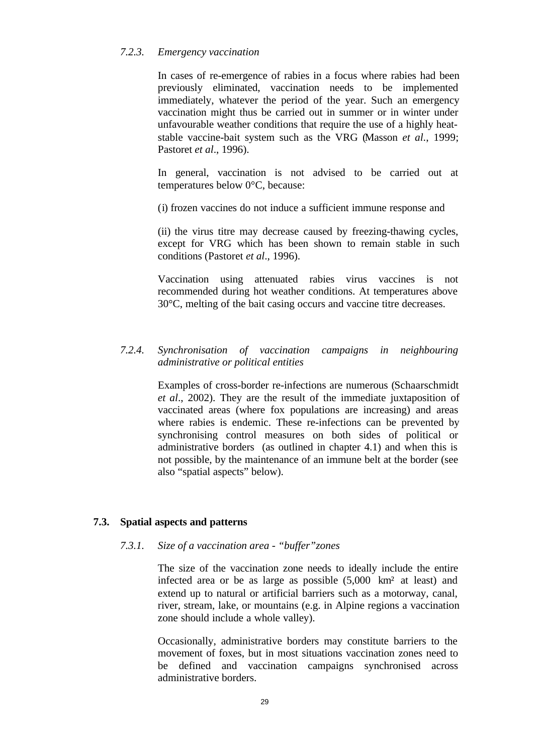## *7.2.3. Emergency vaccination*

In cases of re-emergence of rabies in a focus where rabies had been previously eliminated, vaccination needs to be implemented immediately, whatever the period of the year. Such an emergency vaccination might thus be carried out in summer or in winter under unfavourable weather conditions that require the use of a highly heatstable vaccine-bait system such as the VRG (Masson *et al*., 1999; Pastoret *et al*., 1996).

In general, vaccination is not advised to be carried out at temperatures below 0°C, because:

(i) frozen vaccines do not induce a sufficient immune response and

(ii) the virus titre may decrease caused by freezing-thawing cycles, except for VRG which has been shown to remain stable in such conditions (Pastoret *et al*., 1996).

Vaccination using attenuated rabies virus vaccines is not recommended during hot weather conditions. At temperatures above 30°C, melting of the bait casing occurs and vaccine titre decreases.

## *7.2.4. Synchronisation of vaccination campaigns in neighbouring administrative or political entities*

Examples of cross-border re-infections are numerous (Schaarschmidt *et al*., 2002). They are the result of the immediate juxtaposition of vaccinated areas (where fox populations are increasing) and areas where rabies is endemic. These re-infections can be prevented by synchronising control measures on both sides of political or administrative borders (as outlined in chapter 4.1) and when this is not possible, by the maintenance of an immune belt at the border (see also "spatial aspects" below).

## **7.3. Spatial aspects and patterns**

#### *7.3.1. Size of a vaccination area - "buffer"zones*

The size of the vaccination zone needs to ideally include the entire infected area or be as large as possible (5,000 km² at least) and extend up to natural or artificial barriers such as a motorway, canal, river, stream, lake, or mountains (e.g. in Alpine regions a vaccination zone should include a whole valley).

Occasionally, administrative borders may constitute barriers to the movement of foxes, but in most situations vaccination zones need to be defined and vaccination campaigns synchronised across administrative borders.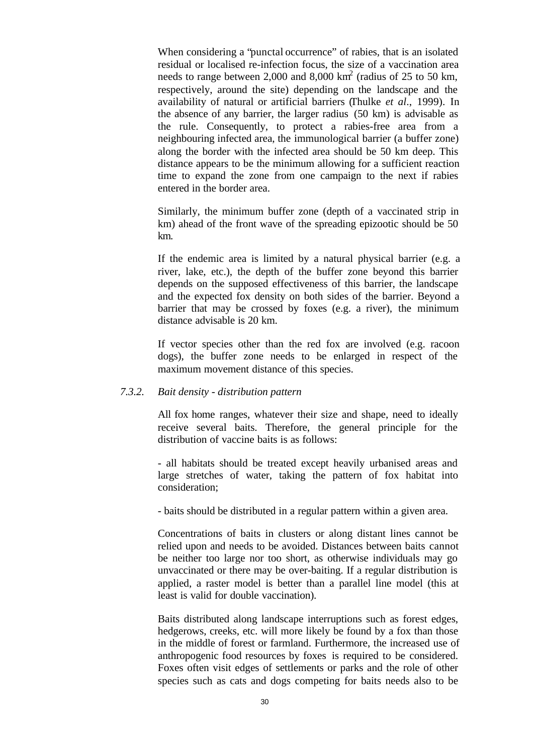When considering a "punctal occurrence" of rabies, that is an isolated residual or localised re-infection focus, the size of a vaccination area needs to range between 2,000 and 8,000  $\text{km}^2$  (radius of 25 to 50 km, respectively, around the site) depending on the landscape and the availability of natural or artificial barriers (Thulke *et al*., 1999). In the absence of any barrier, the larger radius (50 km) is advisable as the rule. Consequently, to protect a rabies-free area from a neighbouring infected area, the immunological barrier (a buffer zone) along the border with the infected area should be 50 km deep. This distance appears to be the minimum allowing for a sufficient reaction time to expand the zone from one campaign to the next if rabies entered in the border area.

Similarly, the minimum buffer zone (depth of a vaccinated strip in km) ahead of the front wave of the spreading epizootic should be 50 km.

If the endemic area is limited by a natural physical barrier (e.g. a river, lake, etc.), the depth of the buffer zone beyond this barrier depends on the supposed effectiveness of this barrier, the landscape and the expected fox density on both sides of the barrier. Beyond a barrier that may be crossed by foxes (e.g. a river), the minimum distance advisable is 20 km.

If vector species other than the red fox are involved (e.g. racoon dogs), the buffer zone needs to be enlarged in respect of the maximum movement distance of this species.

### *7.3.2. Bait density - distribution pattern*

All fox home ranges, whatever their size and shape, need to ideally receive several baits. Therefore, the general principle for the distribution of vaccine baits is as follows:

- all habitats should be treated except heavily urbanised areas and large stretches of water, taking the pattern of fox habitat into consideration;

- baits should be distributed in a regular pattern within a given area.

Concentrations of baits in clusters or along distant lines cannot be relied upon and needs to be avoided. Distances between baits cannot be neither too large nor too short, as otherwise individuals may go unvaccinated or there may be over-baiting. If a regular distribution is applied, a raster model is better than a parallel line model (this at least is valid for double vaccination).

Baits distributed along landscape interruptions such as forest edges, hedgerows, creeks, etc. will more likely be found by a fox than those in the middle of forest or farmland. Furthermore, the increased use of anthropogenic food resources by foxes is required to be considered. Foxes often visit edges of settlements or parks and the role of other species such as cats and dogs competing for baits needs also to be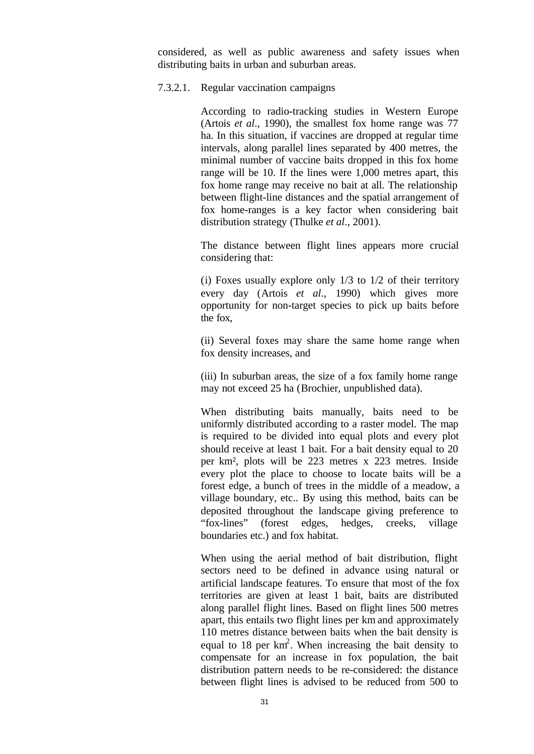considered, as well as public awareness and safety issues when distributing baits in urban and suburban areas.

#### 7.3.2.1. Regular vaccination campaigns

According to radio-tracking studies in Western Europe (Artois *et al*., 1990), the smallest fox home range was 77 ha. In this situation, if vaccines are dropped at regular time intervals, along parallel lines separated by 400 metres, the minimal number of vaccine baits dropped in this fox home range will be 10. If the lines were 1,000 metres apart, this fox home range may receive no bait at all. The relationship between flight-line distances and the spatial arrangement of fox home-ranges is a key factor when considering bait distribution strategy (Thulke *et al*., 2001).

The distance between flight lines appears more crucial considering that:

(i) Foxes usually explore only  $1/3$  to  $1/2$  of their territory every day (Artois *et al*., 1990) which gives more opportunity for non-target species to pick up baits before the fox,

(ii) Several foxes may share the same home range when fox density increases, and

(iii) In suburban areas, the size of a fox family home range may not exceed 25 ha (Brochier, unpublished data).

When distributing baits manually, baits need to be uniformly distributed according to a raster model. The map is required to be divided into equal plots and every plot should receive at least 1 bait. For a bait density equal to 20 per km², plots will be 223 metres x 223 metres. Inside every plot the place to choose to locate baits will be a forest edge, a bunch of trees in the middle of a meadow, a village boundary, etc.. By using this method, baits can be deposited throughout the landscape giving preference to "fox-lines" (forest edges, hedges, creeks, village boundaries etc.) and fox habitat.

When using the aerial method of bait distribution, flight sectors need to be defined in advance using natural or artificial landscape features. To ensure that most of the fox territories are given at least 1 bait, baits are distributed along parallel flight lines. Based on flight lines 500 metres apart, this entails two flight lines per km and approximately 110 metres distance between baits when the bait density is equal to 18 per  $km^2$ . When increasing the bait density to compensate for an increase in fox population, the bait distribution pattern needs to be re-considered: the distance between flight lines is advised to be reduced from 500 to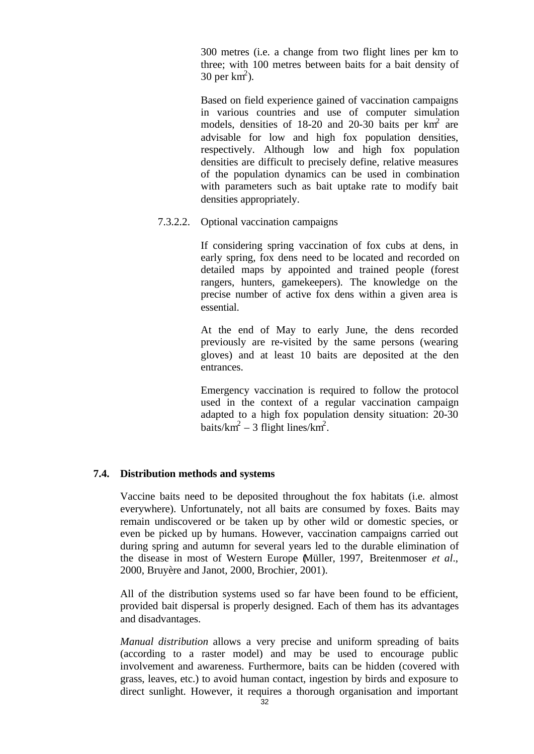300 metres (i.e. a change from two flight lines per km to three; with 100 metres between baits for a bait density of 30 per  $km^2$ ).

Based on field experience gained of vaccination campaigns in various countries and use of computer simulation models, densities of  $18-20$  and  $20-30$  baits per km<sup>2</sup> are advisable for low and high fox population densities, respectively. Although low and high fox population densities are difficult to precisely define, relative measures of the population dynamics can be used in combination with parameters such as bait uptake rate to modify bait densities appropriately.

## 7.3.2.2. Optional vaccination campaigns

If considering spring vaccination of fox cubs at dens, in early spring, fox dens need to be located and recorded on detailed maps by appointed and trained people (forest rangers, hunters, gamekeepers). The knowledge on the precise number of active fox dens within a given area is essential.

At the end of May to early June, the dens recorded previously are re-visited by the same persons (wearing gloves) and at least 10 baits are deposited at the den entrances.

Emergency vaccination is required to follow the protocol used in the context of a regular vaccination campaign adapted to a high fox population density situation: 20-30 baits/ $km^2 - 3$  flight lines/ $km^2$ .

#### **7.4. Distribution methods and systems**

Vaccine baits need to be deposited throughout the fox habitats (i.e. almost everywhere). Unfortunately, not all baits are consumed by foxes. Baits may remain undiscovered or be taken up by other wild or domestic species, or even be picked up by humans. However, vaccination campaigns carried out during spring and autumn for several years led to the durable elimination of the disease in most of Western Europe (Müller, 1997, Breitenmoser *et al*., 2000, Bruyère and Janot, 2000, Brochier, 2001).

All of the distribution systems used so far have been found to be efficient, provided bait dispersal is properly designed. Each of them has its advantages and disadvantages.

*Manual distribution* allows a very precise and uniform spreading of baits (according to a raster model) and may be used to encourage public involvement and awareness. Furthermore, baits can be hidden (covered with grass, leaves, etc.) to avoid human contact, ingestion by birds and exposure to direct sunlight. However, it requires a thorough organisation and important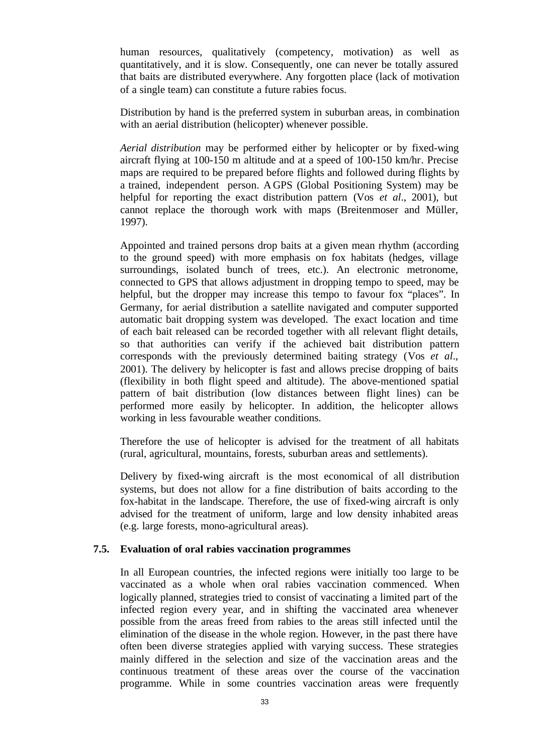human resources, qualitatively (competency, motivation) as well as quantitatively, and it is slow. Consequently, one can never be totally assured that baits are distributed everywhere. Any forgotten place (lack of motivation of a single team) can constitute a future rabies focus.

Distribution by hand is the preferred system in suburban areas, in combination with an aerial distribution (helicopter) whenever possible.

*Aerial distribution* may be performed either by helicopter or by fixed-wing aircraft flying at 100-150 m altitude and at a speed of 100-150 km/hr. Precise maps are required to be prepared before flights and followed during flights by a trained, independent person. A GPS (Global Positioning System) may be helpful for reporting the exact distribution pattern (Vos *et al*., 2001), but cannot replace the thorough work with maps (Breitenmoser and Müller, 1997).

Appointed and trained persons drop baits at a given mean rhythm (according to the ground speed) with more emphasis on fox habitats (hedges, village surroundings, isolated bunch of trees, etc.). An electronic metronome, connected to GPS that allows adjustment in dropping tempo to speed, may be helpful, but the dropper may increase this tempo to favour fox "places". In Germany, for aerial distribution a satellite navigated and computer supported automatic bait dropping system was developed. The exact location and time of each bait released can be recorded together with all relevant flight details, so that authorities can verify if the achieved bait distribution pattern corresponds with the previously determined baiting strategy (Vos *et al*., 2001). The delivery by helicopter is fast and allows precise dropping of baits (flexibility in both flight speed and altitude). The above-mentioned spatial pattern of bait distribution (low distances between flight lines) can be performed more easily by helicopter. In addition, the helicopter allows working in less favourable weather conditions.

Therefore the use of helicopter is advised for the treatment of all habitats (rural, agricultural, mountains, forests, suburban areas and settlements).

Delivery by fixed-wing aircraft is the most economical of all distribution systems, but does not allow for a fine distribution of baits according to the fox-habitat in the landscape. Therefore, the use of fixed-wing aircraft is only advised for the treatment of uniform, large and low density inhabited areas (e.g. large forests, mono-agricultural areas).

#### **7.5. Evaluation of oral rabies vaccination programmes**

In all European countries, the infected regions were initially too large to be vaccinated as a whole when oral rabies vaccination commenced. When logically planned, strategies tried to consist of vaccinating a limited part of the infected region every year, and in shifting the vaccinated area whenever possible from the areas freed from rabies to the areas still infected until the elimination of the disease in the whole region. However, in the past there have often been diverse strategies applied with varying success. These strategies mainly differed in the selection and size of the vaccination areas and the continuous treatment of these areas over the course of the vaccination programme. While in some countries vaccination areas were frequently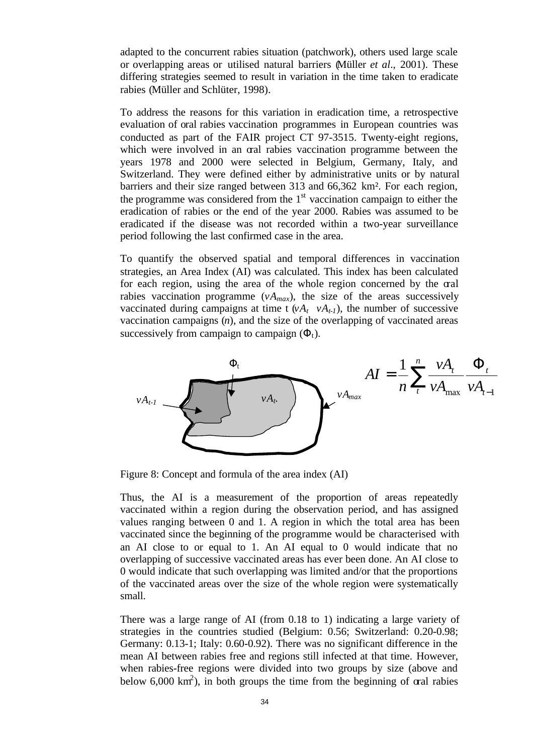adapted to the concurrent rabies situation (patchwork), others used large scale or overlapping areas or utilised natural barriers (Müller *et al*., 2001). These differing strategies seemed to result in variation in the time taken to eradicate rabies (Müller and Schlüter, 1998).

To address the reasons for this variation in eradication time, a retrospective evaluation of oral rabies vaccination programmes in European countries was conducted as part of the FAIR project CT 97-3515. Twenty-eight regions, which were involved in an oral rabies vaccination programme between the years 1978 and 2000 were selected in Belgium, Germany, Italy, and Switzerland. They were defined either by administrative units or by natural barriers and their size ranged between 313 and 66,362 km². For each region, the programme was considered from the  $1<sup>st</sup>$  vaccination campaign to either the eradication of rabies or the end of the year 2000. Rabies was assumed to be eradicated if the disease was not recorded within a two-year surveillance period following the last confirmed case in the area.

To quantify the observed spatial and temporal differences in vaccination strategies, an Area Index (AI) was calculated. This index has been calculated for each region, using the area of the whole region concerned by the oral rabies vaccination programme  $(vA_{max})$ , the size of the areas successively vaccinated during campaigns at time t  $(vA_t \t vA_{t-1})$ , the number of successive vaccination campaigns (*n*), and the size of the overlapping of vaccinated areas successively from campaign to campaign  $(\Phi_t)$ .



Figure 8: Concept and formula of the area index (AI)

Thus, the AI is a measurement of the proportion of areas repeatedly vaccinated within a region during the observation period, and has assigned values ranging between 0 and 1. A region in which the total area has been vaccinated since the beginning of the programme would be characterised with an AI close to or equal to 1. An AI equal to 0 would indicate that no overlapping of successive vaccinated areas has ever been done. An AI close to 0 would indicate that such overlapping was limited and/or that the proportions of the vaccinated areas over the size of the whole region were systematically small.

There was a large range of AI (from 0.18 to 1) indicating a large variety of strategies in the countries studied (Belgium: 0.56; Switzerland: 0.20-0.98; Germany: 0.13-1; Italy: 0.60-0.92). There was no significant difference in the mean AI between rabies free and regions still infected at that time. However, when rabies-free regions were divided into two groups by size (above and below  $6,000 \text{ km}^2$ ), in both groups the time from the beginning of oral rabies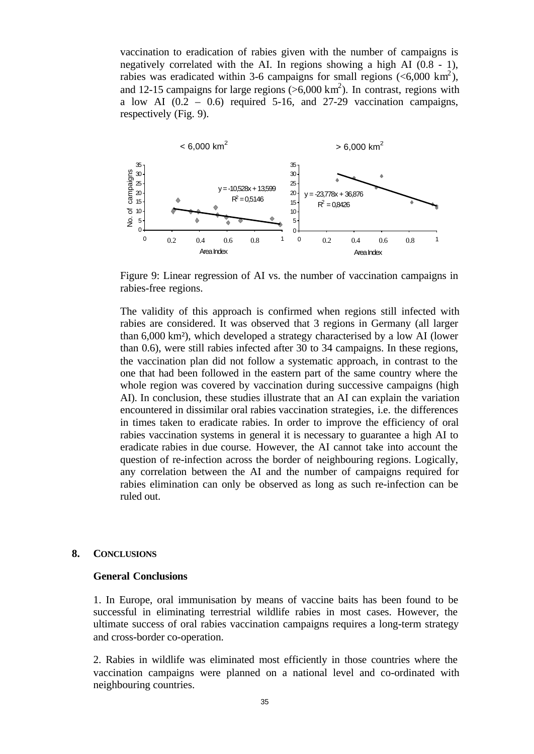vaccination to eradication of rabies given with the number of campaigns is negatively correlated with the AI. In regions showing a high AI (0.8 - 1), rabies was eradicated within 3-6 campaigns for small regions ( $\leq 6,000 \text{ km}^2$ ), and 12-15 campaigns for large regions  $(>6,000 \text{ km}^2)$ . In contrast, regions with a low AI  $(0.2 - 0.6)$  required 5-16, and 27-29 vaccination campaigns, respectively (Fig. 9).



Figure 9: Linear regression of AI vs. the number of vaccination campaigns in rabies-free regions.

The validity of this approach is confirmed when regions still infected with rabies are considered. It was observed that 3 regions in Germany (all larger than 6,000 km²), which developed a strategy characterised by a low AI (lower than 0.6), were still rabies infected after 30 to 34 campaigns. In these regions, the vaccination plan did not follow a systematic approach, in contrast to the one that had been followed in the eastern part of the same country where the whole region was covered by vaccination during successive campaigns (high AI). In conclusion, these studies illustrate that an AI can explain the variation encountered in dissimilar oral rabies vaccination strategies, i.e. the differences in times taken to eradicate rabies. In order to improve the efficiency of oral rabies vaccination systems in general it is necessary to guarantee a high AI to eradicate rabies in due course. However, the AI cannot take into account the question of re-infection across the border of neighbouring regions. Logically, any correlation between the AI and the number of campaigns required for rabies elimination can only be observed as long as such re-infection can be ruled out.

#### **8. CONCLUSIONS**

#### **General Conclusions**

1. In Europe, oral immunisation by means of vaccine baits has been found to be successful in eliminating terrestrial wildlife rabies in most cases. However, the ultimate success of oral rabies vaccination campaigns requires a long-term strategy and cross-border co-operation.

2. Rabies in wildlife was eliminated most efficiently in those countries where the vaccination campaigns were planned on a national level and co-ordinated with neighbouring countries.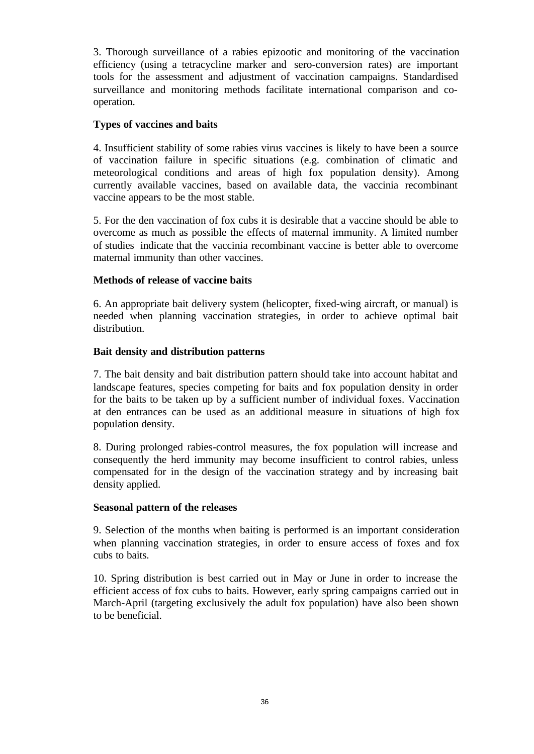3. Thorough surveillance of a rabies epizootic and monitoring of the vaccination efficiency (using a tetracycline marker and sero-conversion rates) are important tools for the assessment and adjustment of vaccination campaigns. Standardised surveillance and monitoring methods facilitate international comparison and cooperation.

## **Types of vaccines and baits**

4. Insufficient stability of some rabies virus vaccines is likely to have been a source of vaccination failure in specific situations (e.g. combination of climatic and meteorological conditions and areas of high fox population density). Among currently available vaccines, based on available data, the vaccinia recombinant vaccine appears to be the most stable.

5. For the den vaccination of fox cubs it is desirable that a vaccine should be able to overcome as much as possible the effects of maternal immunity. A limited number of studies indicate that the vaccinia recombinant vaccine is better able to overcome maternal immunity than other vaccines.

## **Methods of release of vaccine baits**

6. An appropriate bait delivery system (helicopter, fixed-wing aircraft, or manual) is needed when planning vaccination strategies, in order to achieve optimal bait distribution.

## **Bait density and distribution patterns**

7. The bait density and bait distribution pattern should take into account habitat and landscape features, species competing for baits and fox population density in order for the baits to be taken up by a sufficient number of individual foxes. Vaccination at den entrances can be used as an additional measure in situations of high fox population density.

8. During prolonged rabies-control measures, the fox population will increase and consequently the herd immunity may become insufficient to control rabies, unless compensated for in the design of the vaccination strategy and by increasing bait density applied.

## **Seasonal pattern of the releases**

9. Selection of the months when baiting is performed is an important consideration when planning vaccination strategies, in order to ensure access of foxes and fox cubs to baits.

10. Spring distribution is best carried out in May or June in order to increase the efficient access of fox cubs to baits. However, early spring campaigns carried out in March-April (targeting exclusively the adult fox population) have also been shown to be beneficial.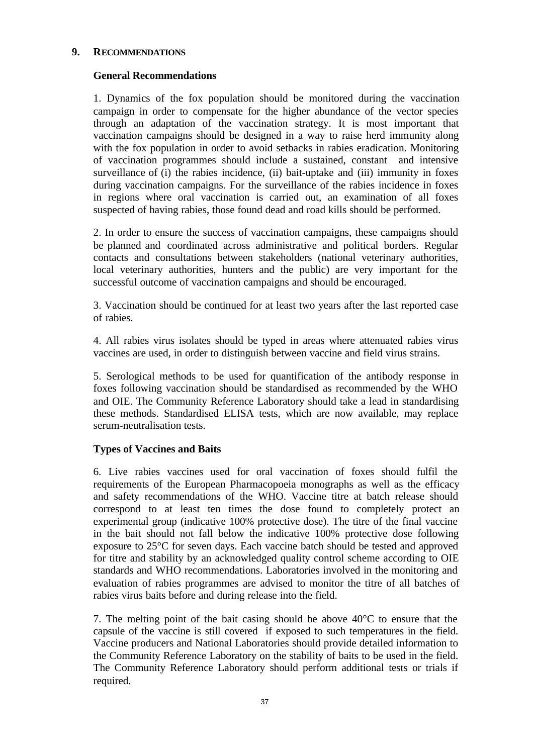## **9. RECOMMENDATIONS**

## **General Recommendations**

1. Dynamics of the fox population should be monitored during the vaccination campaign in order to compensate for the higher abundance of the vector species through an adaptation of the vaccination strategy. It is most important that vaccination campaigns should be designed in a way to raise herd immunity along with the fox population in order to avoid setbacks in rabies eradication. Monitoring of vaccination programmes should include a sustained, constant and intensive surveillance of (i) the rabies incidence, (ii) bait-uptake and (iii) immunity in foxes during vaccination campaigns. For the surveillance of the rabies incidence in foxes in regions where oral vaccination is carried out, an examination of all foxes suspected of having rabies, those found dead and road kills should be performed.

2. In order to ensure the success of vaccination campaigns, these campaigns should be planned and coordinated across administrative and political borders. Regular contacts and consultations between stakeholders (national veterinary authorities, local veterinary authorities, hunters and the public) are very important for the successful outcome of vaccination campaigns and should be encouraged.

3. Vaccination should be continued for at least two years after the last reported case of rabies.

4. All rabies virus isolates should be typed in areas where attenuated rabies virus vaccines are used, in order to distinguish between vaccine and field virus strains.

5. Serological methods to be used for quantification of the antibody response in foxes following vaccination should be standardised as recommended by the WHO and OIE. The Community Reference Laboratory should take a lead in standardising these methods. Standardised ELISA tests, which are now available, may replace serum-neutralisation tests.

## **Types of Vaccines and Baits**

6. Live rabies vaccines used for oral vaccination of foxes should fulfil the requirements of the European Pharmacopoeia monographs as well as the efficacy and safety recommendations of the WHO. Vaccine titre at batch release should correspond to at least ten times the dose found to completely protect an experimental group (indicative 100% protective dose). The titre of the final vaccine in the bait should not fall below the indicative 100% protective dose following exposure to 25°C for seven days. Each vaccine batch should be tested and approved for titre and stability by an acknowledged quality control scheme according to OIE standards and WHO recommendations. Laboratories involved in the monitoring and evaluation of rabies programmes are advised to monitor the titre of all batches of rabies virus baits before and during release into the field.

7. The melting point of the bait casing should be above 40°C to ensure that the capsule of the vaccine is still covered if exposed to such temperatures in the field. Vaccine producers and National Laboratories should provide detailed information to the Community Reference Laboratory on the stability of baits to be used in the field. The Community Reference Laboratory should perform additional tests or trials if required.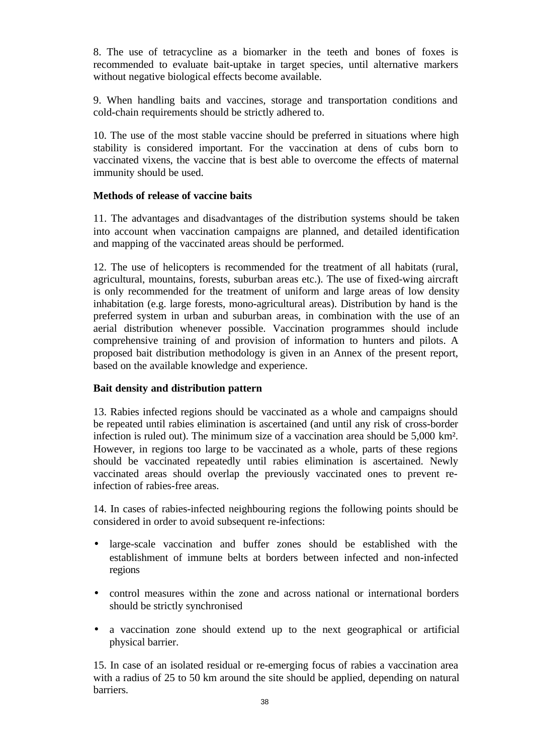8. The use of tetracycline as a biomarker in the teeth and bones of foxes is recommended to evaluate bait-uptake in target species, until alternative markers without negative biological effects become available.

9. When handling baits and vaccines, storage and transportation conditions and cold-chain requirements should be strictly adhered to.

10. The use of the most stable vaccine should be preferred in situations where high stability is considered important. For the vaccination at dens of cubs born to vaccinated vixens, the vaccine that is best able to overcome the effects of maternal immunity should be used.

## **Methods of release of vaccine baits**

11. The advantages and disadvantages of the distribution systems should be taken into account when vaccination campaigns are planned, and detailed identification and mapping of the vaccinated areas should be performed.

12. The use of helicopters is recommended for the treatment of all habitats (rural, agricultural, mountains, forests, suburban areas etc.). The use of fixed-wing aircraft is only recommended for the treatment of uniform and large areas of low density inhabitation (e.g. large forests, mono-agricultural areas). Distribution by hand is the preferred system in urban and suburban areas, in combination with the use of an aerial distribution whenever possible. Vaccination programmes should include comprehensive training of and provision of information to hunters and pilots. A proposed bait distribution methodology is given in an Annex of the present report, based on the available knowledge and experience.

## **Bait density and distribution pattern**

13. Rabies infected regions should be vaccinated as a whole and campaigns should be repeated until rabies elimination is ascertained (and until any risk of cross-border infection is ruled out). The minimum size of a vaccination area should be 5,000 km². However, in regions too large to be vaccinated as a whole, parts of these regions should be vaccinated repeatedly until rabies elimination is ascertained. Newly vaccinated areas should overlap the previously vaccinated ones to prevent reinfection of rabies-free areas.

14. In cases of rabies-infected neighbouring regions the following points should be considered in order to avoid subsequent re-infections:

- large-scale vaccination and buffer zones should be established with the establishment of immune belts at borders between infected and non-infected regions
- control measures within the zone and across national or international borders should be strictly synchronised
- a vaccination zone should extend up to the next geographical or artificial physical barrier.

15. In case of an isolated residual or re-emerging focus of rabies a vaccination area with a radius of 25 to 50 km around the site should be applied, depending on natural barriers.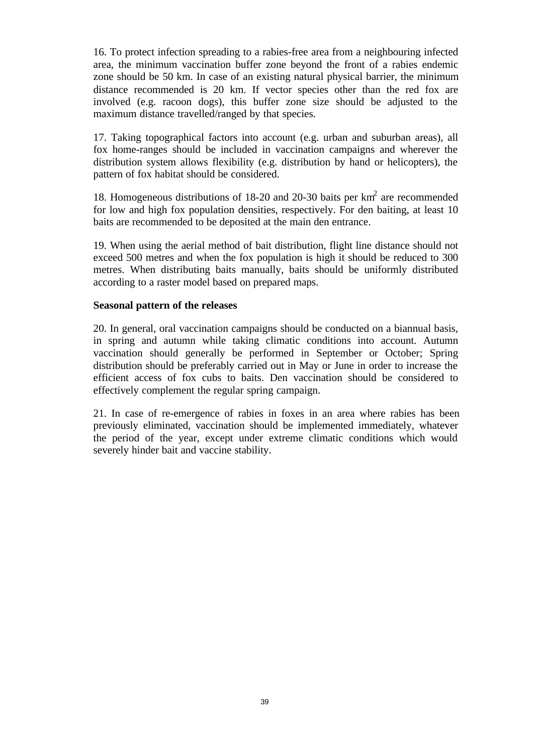16. To protect infection spreading to a rabies-free area from a neighbouring infected area, the minimum vaccination buffer zone beyond the front of a rabies endemic zone should be 50 km. In case of an existing natural physical barrier, the minimum distance recommended is 20 km. If vector species other than the red fox are involved (e.g. racoon dogs), this buffer zone size should be adjusted to the maximum distance travelled/ranged by that species.

17. Taking topographical factors into account (e.g. urban and suburban areas), all fox home-ranges should be included in vaccination campaigns and wherever the distribution system allows flexibility (e.g. distribution by hand or helicopters), the pattern of fox habitat should be considered.

18. Homogeneous distributions of 18-20 and 20-30 baits per  $km<sup>2</sup>$  are recommended for low and high fox population densities, respectively. For den baiting, at least 10 baits are recommended to be deposited at the main den entrance.

19. When using the aerial method of bait distribution, flight line distance should not exceed 500 metres and when the fox population is high it should be reduced to 300 metres. When distributing baits manually, baits should be uniformly distributed according to a raster model based on prepared maps.

#### **Seasonal pattern of the releases**

20. In general, oral vaccination campaigns should be conducted on a biannual basis, in spring and autumn while taking climatic conditions into account. Autumn vaccination should generally be performed in September or October; Spring distribution should be preferably carried out in May or June in order to increase the efficient access of fox cubs to baits. Den vaccination should be considered to effectively complement the regular spring campaign.

21. In case of re-emergence of rabies in foxes in an area where rabies has been previously eliminated, vaccination should be implemented immediately, whatever the period of the year, except under extreme climatic conditions which would severely hinder bait and vaccine stability.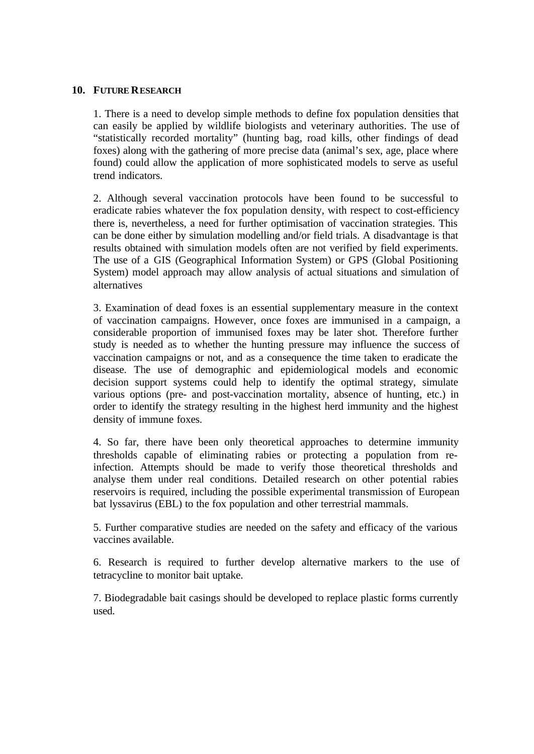#### **10. FUTURE RESEARCH**

1. There is a need to develop simple methods to define fox population densities that can easily be applied by wildlife biologists and veterinary authorities. The use of "statistically recorded mortality" (hunting bag, road kills, other findings of dead foxes) along with the gathering of more precise data (animal's sex, age, place where found) could allow the application of more sophisticated models to serve as useful trend indicators.

2. Although several vaccination protocols have been found to be successful to eradicate rabies whatever the fox population density, with respect to cost-efficiency there is, nevertheless, a need for further optimisation of vaccination strategies. This can be done either by simulation modelling and/or field trials. A disadvantage is that results obtained with simulation models often are not verified by field experiments. The use of a GIS (Geographical Information System) or GPS (Global Positioning System) model approach may allow analysis of actual situations and simulation of alternatives

3. Examination of dead foxes is an essential supplementary measure in the context of vaccination campaigns. However, once foxes are immunised in a campaign, a considerable proportion of immunised foxes may be later shot. Therefore further study is needed as to whether the hunting pressure may influence the success of vaccination campaigns or not, and as a consequence the time taken to eradicate the disease. The use of demographic and epidemiological models and economic decision support systems could help to identify the optimal strategy, simulate various options (pre- and post-vaccination mortality, absence of hunting, etc.) in order to identify the strategy resulting in the highest herd immunity and the highest density of immune foxes.

4. So far, there have been only theoretical approaches to determine immunity thresholds capable of eliminating rabies or protecting a population from reinfection. Attempts should be made to verify those theoretical thresholds and analyse them under real conditions. Detailed research on other potential rabies reservoirs is required, including the possible experimental transmission of European bat lyssavirus (EBL) to the fox population and other terrestrial mammals.

5. Further comparative studies are needed on the safety and efficacy of the various vaccines available.

6. Research is required to further develop alternative markers to the use of tetracycline to monitor bait uptake.

7. Biodegradable bait casings should be developed to replace plastic forms currently used.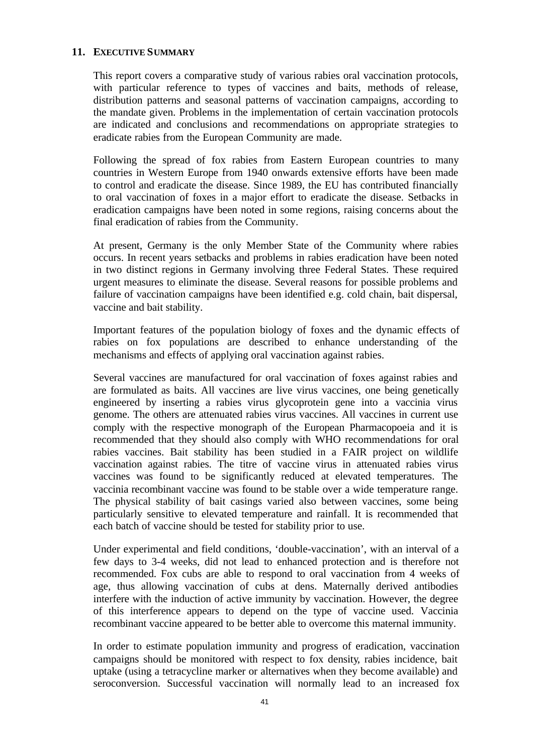## **11. EXECUTIVE SUMMARY**

This report covers a comparative study of various rabies oral vaccination protocols, with particular reference to types of vaccines and baits, methods of release, distribution patterns and seasonal patterns of vaccination campaigns, according to the mandate given. Problems in the implementation of certain vaccination protocols are indicated and conclusions and recommendations on appropriate strategies to eradicate rabies from the European Community are made.

Following the spread of fox rabies from Eastern European countries to many countries in Western Europe from 1940 onwards extensive efforts have been made to control and eradicate the disease. Since 1989, the EU has contributed financially to oral vaccination of foxes in a major effort to eradicate the disease. Setbacks in eradication campaigns have been noted in some regions, raising concerns about the final eradication of rabies from the Community.

At present, Germany is the only Member State of the Community where rabies occurs. In recent years setbacks and problems in rabies eradication have been noted in two distinct regions in Germany involving three Federal States. These required urgent measures to eliminate the disease. Several reasons for possible problems and failure of vaccination campaigns have been identified e.g. cold chain, bait dispersal, vaccine and bait stability.

Important features of the population biology of foxes and the dynamic effects of rabies on fox populations are described to enhance understanding of the mechanisms and effects of applying oral vaccination against rabies.

Several vaccines are manufactured for oral vaccination of foxes against rabies and are formulated as baits. All vaccines are live virus vaccines, one being genetically engineered by inserting a rabies virus glycoprotein gene into a vaccinia virus genome. The others are attenuated rabies virus vaccines. All vaccines in current use comply with the respective monograph of the European Pharmacopoeia and it is recommended that they should also comply with WHO recommendations for oral rabies vaccines. Bait stability has been studied in a FAIR project on wildlife vaccination against rabies. The titre of vaccine virus in attenuated rabies virus vaccines was found to be significantly reduced at elevated temperatures. The vaccinia recombinant vaccine was found to be stable over a wide temperature range. The physical stability of bait casings varied also between vaccines, some being particularly sensitive to elevated temperature and rainfall. It is recommended that each batch of vaccine should be tested for stability prior to use.

Under experimental and field conditions, 'double-vaccination', with an interval of a few days to 3-4 weeks, did not lead to enhanced protection and is therefore not recommended. Fox cubs are able to respond to oral vaccination from 4 weeks of age, thus allowing vaccination of cubs at dens. Maternally derived antibodies interfere with the induction of active immunity by vaccination. However, the degree of this interference appears to depend on the type of vaccine used. Vaccinia recombinant vaccine appeared to be better able to overcome this maternal immunity.

In order to estimate population immunity and progress of eradication, vaccination campaigns should be monitored with respect to fox density, rabies incidence, bait uptake (using a tetracycline marker or alternatives when they become available) and seroconversion. Successful vaccination will normally lead to an increased fox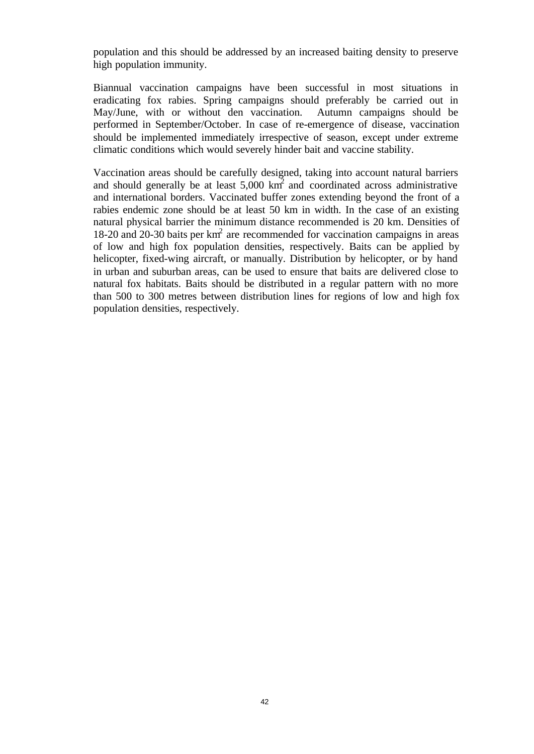population and this should be addressed by an increased baiting density to preserve high population immunity.

Biannual vaccination campaigns have been successful in most situations in eradicating fox rabies. Spring campaigns should preferably be carried out in May/June, with or without den vaccination. Autumn campaigns should be performed in September/October. In case of re-emergence of disease, vaccination should be implemented immediately irrespective of season, except under extreme climatic conditions which would severely hinder bait and vaccine stability.

Vaccination areas should be carefully designed, taking into account natural barriers and should generally be at least  $5,000 \text{ km}^2$  and coordinated across administrative and international borders. Vaccinated buffer zones extending beyond the front of a rabies endemic zone should be at least 50 km in width. In the case of an existing natural physical barrier the minimum distance recommended is 20 km. Densities of 18-20 and 20-30 baits per  $km^2$  are recommended for vaccination campaigns in areas of low and high fox population densities, respectively. Baits can be applied by helicopter, fixed-wing aircraft, or manually. Distribution by helicopter, or by hand in urban and suburban areas, can be used to ensure that baits are delivered close to natural fox habitats. Baits should be distributed in a regular pattern with no more than 500 to 300 metres between distribution lines for regions of low and high fox population densities, respectively.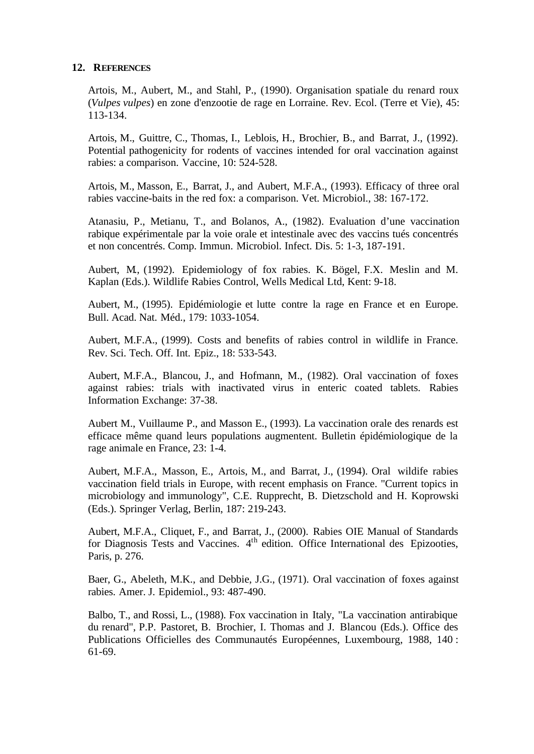#### **12. REFERENCES**

Artois, M., Aubert, M., and Stahl, P., (1990). Organisation spatiale du renard roux (*Vulpes vulpes*) en zone d'enzootie de rage en Lorraine. Rev. Ecol. (Terre et Vie), 45: 113-134.

Artois, M., Guittre, C., Thomas, I., Leblois, H., Brochier, B., and Barrat, J., (1992). Potential pathogenicity for rodents of vaccines intended for oral vaccination against rabies: a comparison. Vaccine, 10: 524-528.

Artois, M., Masson, E., Barrat, J., and Aubert, M.F.A., (1993). Efficacy of three oral rabies vaccine-baits in the red fox: a comparison. Vet. Microbiol., 38: 167-172.

Atanasiu, P., Metianu, T., and Bolanos, A., (1982). Evaluation d'une vaccination rabique expérimentale par la voie orale et intestinale avec des vaccins tués concentrés et non concentrés. Comp. Immun. Microbiol. Infect. Dis. 5: 1-3, 187-191.

Aubert, M., (1992). Epidemiology of fox rabies. K. Bögel, F.X. Meslin and M. Kaplan (Eds.). Wildlife Rabies Control, Wells Medical Ltd, Kent: 9-18.

Aubert, M., (1995). Epidémiologie et lutte contre la rage en France et en Europe. Bull. Acad. Nat. Méd., 179: 1033-1054.

Aubert, M.F.A., (1999). Costs and benefits of rabies control in wildlife in France. Rev. Sci. Tech. Off. Int. Epiz., 18: 533-543.

Aubert, M.F.A., Blancou, J., and Hofmann, M., (1982). Oral vaccination of foxes against rabies: trials with inactivated virus in enteric coated tablets. Rabies Information Exchange: 37-38.

Aubert M., Vuillaume P., and Masson E., (1993). La vaccination orale des renards est efficace même quand leurs populations augmentent. Bulletin épidémiologique de la rage animale en France, 23: 1-4.

Aubert, M.F.A., Masson, E., Artois, M., and Barrat, J., (1994). Oral wildife rabies vaccination field trials in Europe, with recent emphasis on France. "Current topics in microbiology and immunology", C.E. Rupprecht, B. Dietzschold and H. Koprowski (Eds.). Springer Verlag, Berlin, 187: 219-243.

Aubert, M.F.A., Cliquet, F., and Barrat, J., (2000). Rabies OIE Manual of Standards for Diagnosis Tests and Vaccines. 4<sup>th</sup> edition. Office International des Epizooties, Paris, p. 276.

Baer, G., Abeleth, M.K., and Debbie, J.G., (1971). Oral vaccination of foxes against rabies. Amer. J. Epidemiol., 93: 487-490.

Balbo, T., and Rossi, L., (1988). Fox vaccination in Italy, "La vaccination antirabique du renard", P.P. Pastoret, B. Brochier, I. Thomas and J. Blancou (Eds.). Office des Publications Officielles des Communautés Européennes, Luxembourg, 1988, 140 : 61-69.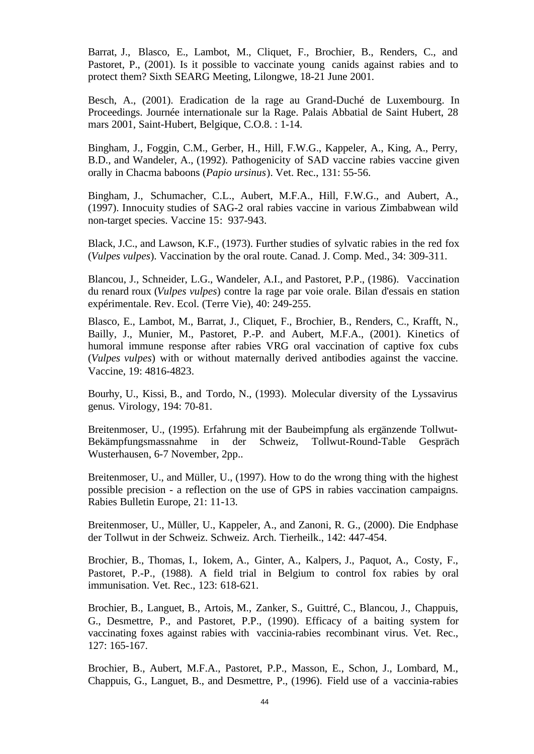Barrat, J., Blasco, E., Lambot, M., Cliquet, F., Brochier, B., Renders, C., and Pastoret, P., (2001). Is it possible to vaccinate young canids against rabies and to protect them? Sixth SEARG Meeting, Lilongwe, 18-21 June 2001.

Besch, A., (2001). Eradication de la rage au Grand-Duché de Luxembourg. In Proceedings. Journée internationale sur la Rage. Palais Abbatial de Saint Hubert, 28 mars 2001, Saint-Hubert, Belgique, C.O.8. : 1-14.

Bingham, J., Foggin, C.M., Gerber, H., Hill, F.W.G., Kappeler, A., King, A., Perry, B.D., and Wandeler, A., (1992). Pathogenicity of SAD vaccine rabies vaccine given orally in Chacma baboons (*Papio ursinus*). Vet. Rec., 131: 55-56.

Bingham, J., Schumacher, C.L., Aubert, M.F.A., Hill, F.W.G., and Aubert, A., (1997). Innocuity studies of SAG-2 oral rabies vaccine in various Zimbabwean wild non-target species. Vaccine 15: 937-943.

Black, J.C., and Lawson, K.F., (1973). Further studies of sylvatic rabies in the red fox (*Vulpes vulpes*). Vaccination by the oral route. Canad. J. Comp. Med., 34: 309-311.

Blancou, J., Schneider, L.G., Wandeler, A.I., and Pastoret, P.P., (1986). Vaccination du renard roux (*Vulpes vulpes*) contre la rage par voie orale. Bilan d'essais en station expérimentale. Rev. Ecol. (Terre Vie), 40: 249-255.

Blasco, E., Lambot, M., Barrat, J., Cliquet, F., Brochier, B., Renders, C., Krafft, N., Bailly, J., Munier, M., Pastoret, P.-P. and Aubert, M.F.A., (2001). Kinetics of humoral immune response after rabies VRG oral vaccination of captive fox cubs (*Vulpes vulpes*) with or without maternally derived antibodies against the vaccine. Vaccine, 19: 4816-4823.

Bourhy, U., Kissi, B., and Tordo, N., (1993). Molecular diversity of the Lyssavirus genus. Virology, 194: 70-81.

Breitenmoser, U., (1995). Erfahrung mit der Baubeimpfung als ergänzende Tollwut-Bekämpfungsmassnahme in der Schweiz, Tollwut-Round-Table Gespräch Wusterhausen, 6-7 November, 2pp..

Breitenmoser, U., and Müller, U., (1997). How to do the wrong thing with the highest possible precision - a reflection on the use of GPS in rabies vaccination campaigns. Rabies Bulletin Europe, 21: 11-13.

Breitenmoser, U., Müller, U., Kappeler, A., and Zanoni, R. G., (2000). Die Endphase der Tollwut in der Schweiz. Schweiz. Arch. Tierheilk., 142: 447-454.

Brochier, B., Thomas, I., Iokem, A., Ginter, A., Kalpers, J., Paquot, A., Costy, F., Pastoret, P.-P., (1988). A field trial in Belgium to control fox rabies by oral immunisation. Vet. Rec., 123: 618-621.

Brochier, B., Languet, B., Artois, M., Zanker, S., Guittré, C., Blancou, J., Chappuis, G., Desmettre, P., and Pastoret, P.P., (1990). Efficacy of a baiting system for vaccinating foxes against rabies with vaccinia-rabies recombinant virus. Vet. Rec., 127: 165-167.

Brochier, B., Aubert, M.F.A., Pastoret, P.P., Masson, E., Schon, J., Lombard, M., Chappuis, G., Languet, B., and Desmettre, P., (1996). Field use of a vaccinia-rabies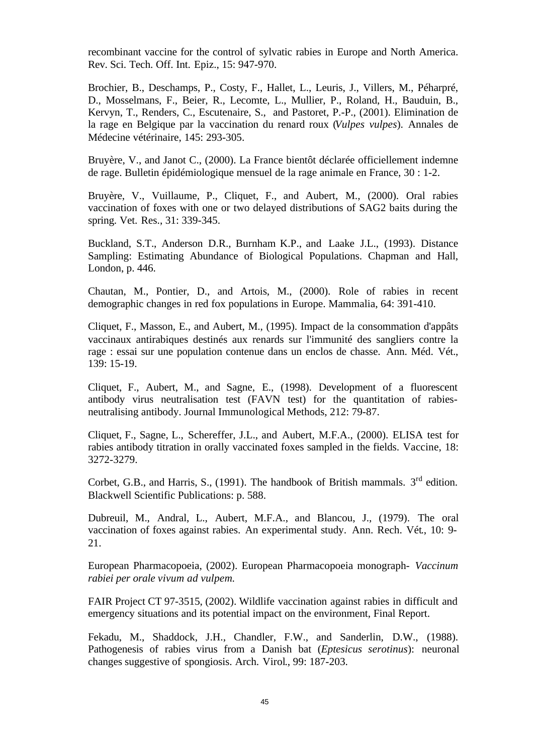recombinant vaccine for the control of sylvatic rabies in Europe and North America. Rev. Sci. Tech. Off. Int. Epiz., 15: 947-970.

Brochier, B., Deschamps, P., Costy, F., Hallet, L., Leuris, J., Villers, M., Péharpré, D., Mosselmans, F., Beier, R., Lecomte, L., Mullier, P., Roland, H., Bauduin, B., Kervyn, T., Renders, C., Escutenaire, S., and Pastoret, P.-P., (2001). Elimination de la rage en Belgique par la vaccination du renard roux (*Vulpes vulpes*). Annales de Médecine vétérinaire, 145: 293-305.

Bruyère, V., and Janot C., (2000). La France bientôt déclarée officiellement indemne de rage. Bulletin épidémiologique mensuel de la rage animale en France, 30 : 1-2.

Bruyère, V., Vuillaume, P., Cliquet, F., and Aubert, M., (2000). Oral rabies vaccination of foxes with one or two delayed distributions of SAG2 baits during the spring. Vet. Res., 31: 339-345.

Buckland, S.T., Anderson D.R., Burnham K.P., and Laake J.L., (1993). Distance Sampling: Estimating Abundance of Biological Populations. Chapman and Hall, London, p. 446.

Chautan, M., Pontier, D., and Artois, M., (2000). Role of rabies in recent demographic changes in red fox populations in Europe. Mammalia, 64: 391-410.

Cliquet, F., Masson, E., and Aubert, M., (1995). Impact de la consommation d'appâts vaccinaux antirabiques destinés aux renards sur l'immunité des sangliers contre la rage : essai sur une population contenue dans un enclos de chasse. Ann. Méd. Vét., 139: 15-19.

Cliquet, F., Aubert, M., and Sagne, E., (1998). Development of a fluorescent antibody virus neutralisation test (FAVN test) for the quantitation of rabiesneutralising antibody. Journal Immunological Methods, 212: 79-87.

Cliquet, F., Sagne, L., Schereffer, J.L., and Aubert, M.F.A., (2000). ELISA test for rabies antibody titration in orally vaccinated foxes sampled in the fields. Vaccine, 18: 3272-3279.

Corbet, G.B., and Harris, S., (1991). The handbook of British mammals.  $3<sup>rd</sup>$  edition. Blackwell Scientific Publications: p. 588.

Dubreuil, M., Andral, L., Aubert, M.F.A., and Blancou, J., (1979). The oral vaccination of foxes against rabies. An experimental study. Ann. Rech. Vét., 10: 9- 21.

European Pharmacopoeia, (2002). European Pharmacopoeia monograph- *Vaccinum rabiei per orale vivum ad vulpem.*

FAIR Project CT 97-3515, (2002). Wildlife vaccination against rabies in difficult and emergency situations and its potential impact on the environment, Final Report.

Fekadu, M., Shaddock, J.H., Chandler, F.W., and Sanderlin, D.W., (1988). Pathogenesis of rabies virus from a Danish bat (*Eptesicus serotinus*): neuronal changes suggestive of spongiosis. Arch. Virol., 99: 187-203.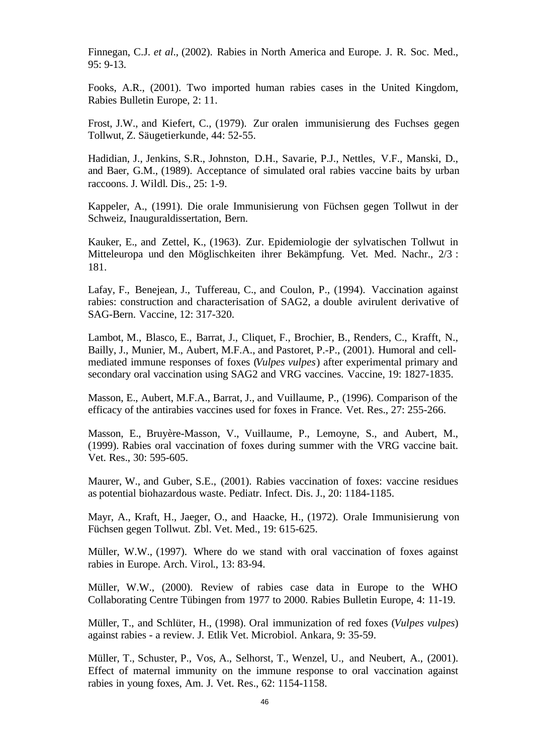Finnegan, C.J. *et al*., (2002). Rabies in North America and Europe. J. R. Soc. Med., 95: 9-13.

Fooks, A.R., (2001). Two imported human rabies cases in the United Kingdom, Rabies Bulletin Europe, 2: 11.

Frost, J.W., and Kiefert, C., (1979). Zur oralen immunisierung des Fuchses gegen Tollwut, Z. Säugetierkunde, 44: 52-55.

Hadidian, J., Jenkins, S.R., Johnston, D.H., Savarie, P.J., Nettles, V.F., Manski, D., and Baer, G.M., (1989). Acceptance of simulated oral rabies vaccine baits by urban raccoons. J. Wildl. Dis., 25: 1-9.

Kappeler, A., (1991). Die orale Immunisierung von Füchsen gegen Tollwut in der Schweiz, Inauguraldissertation, Bern.

Kauker, E., and Zettel, K., (1963). Zur. Epidemiologie der sylvatischen Tollwut in Mitteleuropa und den Möglischkeiten ihrer Bekämpfung. Vet. Med. Nachr., 2/3 : 181.

Lafay, F., Benejean, J., Tuffereau, C., and Coulon, P., (1994). Vaccination against rabies: construction and characterisation of SAG2, a double avirulent derivative of SAG-Bern. Vaccine, 12: 317-320.

Lambot, M., Blasco, E., Barrat, J., Cliquet, F., Brochier, B., Renders, C., Krafft, N., Bailly, J., Munier, M., Aubert, M.F.A., and Pastoret, P.-P., (2001). Humoral and cellmediated immune responses of foxes (*Vulpes vulpes*) after experimental primary and secondary oral vaccination using SAG2 and VRG vaccines. Vaccine, 19: 1827-1835.

Masson, E., Aubert, M.F.A., Barrat, J., and Vuillaume, P., (1996). Comparison of the efficacy of the antirabies vaccines used for foxes in France. Vet. Res., 27: 255-266.

Masson, E., Bruyère-Masson, V., Vuillaume, P., Lemoyne, S., and Aubert, M., (1999). Rabies oral vaccination of foxes during summer with the VRG vaccine bait. Vet. Res., 30: 595-605.

Maurer, W., and Guber, S.E., (2001). Rabies vaccination of foxes: vaccine residues as potential biohazardous waste. Pediatr. Infect. Dis. J., 20: 1184-1185.

Mayr, A., Kraft, H., Jaeger, O., and Haacke, H., (1972). Orale Immunisierung von Füchsen gegen Tollwut. Zbl. Vet. Med., 19: 615-625.

Müller, W.W., (1997). Where do we stand with oral vaccination of foxes against rabies in Europe. Arch. Virol., 13: 83-94.

Müller, W.W., (2000). Review of rabies case data in Europe to the WHO Collaborating Centre Tübingen from 1977 to 2000. Rabies Bulletin Europe, 4: 11-19.

Müller, T., and Schlüter, H., (1998). Oral immunization of red foxes (*Vulpes vulpes*) against rabies - a review. J. Etlik Vet. Microbiol. Ankara, 9: 35-59.

Müller, T., Schuster, P., Vos, A., Selhorst, T., Wenzel, U., and Neubert, A., (2001). Effect of maternal immunity on the immune response to oral vaccination against rabies in young foxes, Am. J. Vet. Res., 62: 1154-1158.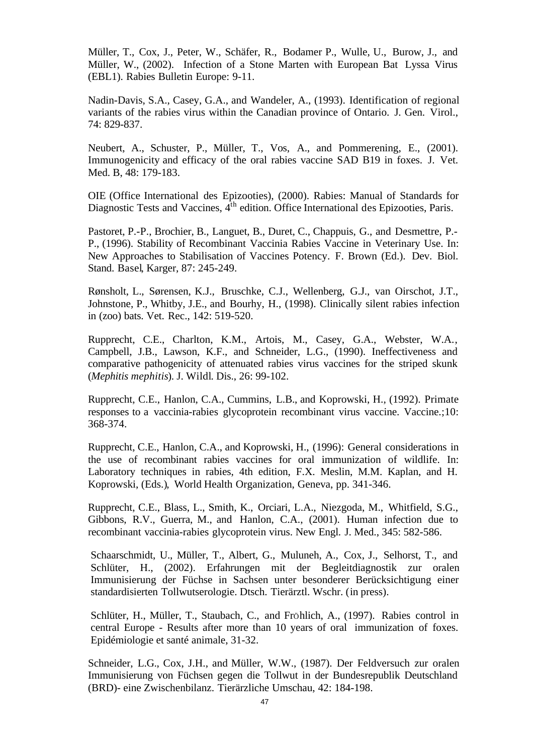Müller, T., Cox, J., Peter, W., Schäfer, R., Bodamer P., Wulle, U., Burow, J., and Müller, W., (2002). Infection of a Stone Marten with European Bat Lyssa Virus (EBL1). Rabies Bulletin Europe: 9-11.

Nadin-Davis, S.A., Casey, G.A., and Wandeler, A., (1993). Identification of regional variants of the rabies virus within the Canadian province of Ontario. J. Gen. Virol., 74: 829-837.

Neubert, A., Schuster, P., Müller, T., Vos, A., and Pommerening, E., (2001). Immunogenicity and efficacy of the oral rabies vaccine SAD B19 in foxes. J. Vet. Med. B, 48: 179-183.

OIE (Office International des Epizooties), (2000). Rabies: Manual of Standards for Diagnostic Tests and Vaccines,  $4<sup>th</sup>$  edition. Office International des Epizooties, Paris.

Pastoret, P.-P., Brochier, B., Languet, B., Duret, C., Chappuis, G., and Desmettre, P.- P., (1996). Stability of Recombinant Vaccinia Rabies Vaccine in Veterinary Use. In: New Approaches to Stabilisation of Vaccines Potency. F. Brown (Ed.). Dev. Biol. Stand. Basel, Karger, 87: 245-249.

Rønsholt, L., Sørensen, K.J., Bruschke, C.J., Wellenberg, G.J., van Oirschot, J.T., Johnstone, P., Whitby, J.E., and Bourhy, H., (1998). Clinically silent rabies infection in (zoo) bats. Vet. Rec., 142: 519-520.

Rupprecht, C.E., Charlton, K.M., Artois, M., Casey, G.A., Webster, W.A., Campbell, J.B., Lawson, K.F., and Schneider, L.G., (1990). Ineffectiveness and comparative pathogenicity of attenuated rabies virus vaccines for the striped skunk (*Mephitis mephitis*). J. Wildl. Dis., 26: 99-102.

Rupprecht, C.E., Hanlon, C.A., Cummins, L.B., and Koprowski, H., (1992). Primate responses to a vaccinia-rabies glycoprotein recombinant virus vaccine. Vaccine.;10: 368-374.

Rupprecht, C.E., Hanlon, C.A., and Koprowski, H., (1996): General considerations in the use of recombinant rabies vaccines for oral immunization of wildlife. In: Laboratory techniques in rabies, 4th edition, F.X. Meslin, M.M. Kaplan, and H. Koprowski, (Eds.), World Health Organization, Geneva, pp. 341-346.

Rupprecht, C.E., Blass, L., Smith, K., Orciari, L.A., Niezgoda, M., Whitfield, S.G., Gibbons, R.V., Guerra, M., and Hanlon, C.A., (2001). Human infection due to recombinant vaccinia-rabies glycoprotein virus. New Engl. J. Med., 345: 582-586.

Schaarschmidt, U., Müller, T., Albert, G., Muluneh, A., Cox, J., Selhorst, T., and Schlüter, H., (2002). Erfahrungen mit der Begleitdiagnostik zur oralen Immunisierung der Füchse in Sachsen unter besonderer Berücksichtigung einer standardisierten Tollwutserologie. Dtsch. Tierärztl. Wschr. (in press).

Schlüter, H., Müller, T., Staubach, C., and FrÖhlich, A., (1997). Rabies control in central Europe - Results after more than 10 years of oral immunization of foxes. Epidémiologie et santé animale, 31-32.

Schneider, L.G., Cox, J.H., and Müller, W.W., (1987). Der Feldversuch zur oralen Immunisierung von Füchsen gegen die Tollwut in der Bundesrepublik Deutschland (BRD)- eine Zwischenbilanz. Tierärzliche Umschau, 42: 184-198.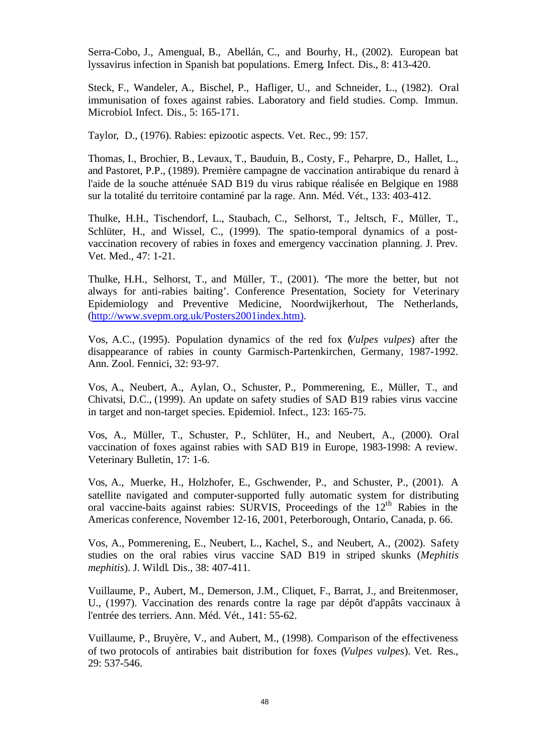Serra-Cobo, J., Amengual, B., Abellán, C., and Bourhy, H., (2002). European bat lyssavirus infection in Spanish bat populations. Emerg. Infect. Dis., 8: 413-420.

Steck, F., Wandeler, A., Bischel, P., Hafliger, U., and Schneider, L., (1982). Oral immunisation of foxes against rabies. Laboratory and field studies. Comp. Immun. Microbiol. Infect. Dis., 5: 165-171.

Taylor, D., (1976). Rabies: epizootic aspects. Vet. Rec., 99: 157.

Thomas, I., Brochier, B., Levaux, T., Bauduin, B., Costy, F., Peharpre, D., Hallet, L., and Pastoret, P.P., (1989). Première campagne de vaccination antirabique du renard à l'aide de la souche atténuée SAD B19 du virus rabique réalisée en Belgique en 1988 sur la totalité du territoire contaminé par la rage. Ann. Méd. Vét., 133: 403-412.

Thulke, H.H., Tischendorf, L., Staubach, C., Selhorst, T., Jeltsch, F., Müller, T., Schlüter, H., and Wissel, C., (1999). The spatio-temporal dynamics of a postvaccination recovery of rabies in foxes and emergency vaccination planning. J. Prev. Vet. Med., 47: 1-21.

Thulke, H.H., Selhorst, T., and Müller, T., (2001). 'The more the better, but not always for anti-rabies baiting'. Conference Presentation, Society for Veterinary Epidemiology and Preventive Medicine, Noordwijkerhout, The Netherlands, (http://www.svepm.org.uk/Posters2001index.htm).

Vos, A.C., (1995). Population dynamics of the red fox (*Vulpes vulpes*) after the disappearance of rabies in county Garmisch-Partenkirchen, Germany, 1987-1992. Ann. Zool. Fennici, 32: 93-97.

Vos, A., Neubert, A., Aylan, O., Schuster, P., Pommerening, E., Müller, T., and Chivatsi, D.C., (1999). An update on safety studies of SAD B19 rabies virus vaccine in target and non-target species. Epidemiol. Infect., 123: 165-75.

Vos, A., Müller, T., Schuster, P., Schlüter, H., and Neubert, A., (2000). Oral vaccination of foxes against rabies with SAD B19 in Europe, 1983-1998: A review. Veterinary Bulletin, 17: 1-6.

Vos, A., Muerke, H., Holzhofer, E., Gschwender, P., and Schuster, P., (2001). A satellite navigated and computer-supported fully automatic system for distributing oral vaccine-baits against rabies: SURVIS, Proceedings of the 12<sup>th</sup> Rabies in the Americas conference, November 12-16, 2001, Peterborough, Ontario, Canada, p. 66.

Vos, A., Pommerening, E., Neubert, L., Kachel, S., and Neubert, A., (2002). Safety studies on the oral rabies virus vaccine SAD B19 in striped skunks (*Mephitis mephitis*). J. Wildl. Dis., 38: 407-411.

Vuillaume, P., Aubert, M., Demerson, J.M., Cliquet, F., Barrat, J., and Breitenmoser, U., (1997). Vaccination des renards contre la rage par dépôt d'appâts vaccinaux à l'entrée des terriers. Ann. Méd. Vét., 141: 55-62.

Vuillaume, P., Bruyère, V., and Aubert, M., (1998). Comparison of the effectiveness of two protocols of antirabies bait distribution for foxes (*Vulpes vulpes*). Vet. Res., 29: 537-546.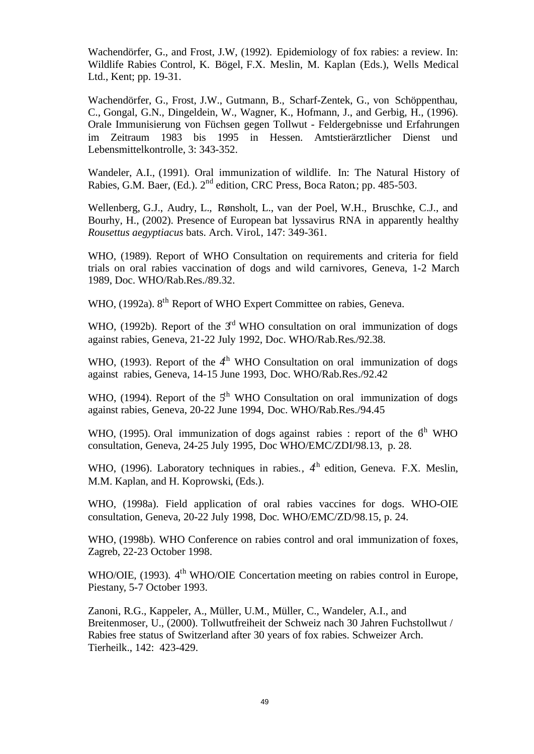Wachendörfer, G., and Frost, J.W, (1992). Epidemiology of fox rabies: a review. In: Wildlife Rabies Control, K. Bögel, F.X. Meslin, M. Kaplan (Eds.), Wells Medical Ltd., Kent; pp. 19-31.

Wachendörfer, G., Frost, J.W., Gutmann, B., Scharf-Zentek, G., von Schöppenthau, C., Gongal, G.N., Dingeldein, W., Wagner, K., Hofmann, J., and Gerbig, H., (1996). Orale Immunisierung von Füchsen gegen Tollwut - Feldergebnisse und Erfahrungen im Zeitraum 1983 bis 1995 in Hessen. Amtstierärztlicher Dienst und Lebensmittelkontrolle, 3: 343-352.

Wandeler, A.I., (1991). Oral immunization of wildlife. In: The Natural History of Rabies, G.M. Baer, (Ed.).  $2<sup>nd</sup>$  edition, CRC Press, Boca Raton; pp. 485-503.

Wellenberg, G.J., Audry, L., Rønsholt, L., van der Poel, W.H., Bruschke, C.J., and Bourhy, H., (2002). Presence of European bat lyssavirus RNA in apparently healthy *Rousettus aegyptiacus* bats. Arch. Virol., 147: 349-361.

WHO, (1989). Report of WHO Consultation on requirements and criteria for field trials on oral rabies vaccination of dogs and wild carnivores, Geneva, 1-2 March 1989, Doc. WHO/Rab.Res./89.32.

WHO, (1992a). 8<sup>th</sup> Report of WHO Expert Committee on rabies, Geneva.

WHO, (1992b). Report of the  $3<sup>rd</sup>$  WHO consultation on oral immunization of dogs against rabies, Geneva, 21-22 July 1992, Doc. WHO/Rab.Res./92.38.

WHO, (1993). Report of the  $4<sup>th</sup>$  WHO Consultation on oral immunization of dogs against rabies, Geneva, 14-15 June 1993, Doc. WHO/Rab.Res./92.42

WHO, (1994). Report of the  $5<sup>th</sup>$  WHO Consultation on oral immunization of dogs against rabies, Geneva, 20-22 June 1994, Doc. WHO/Rab.Res./94.45

WHO, (1995). Oral immunization of dogs against rabies : report of the  $6<sup>th</sup>$  WHO consultation, Geneva, 24-25 July 1995, Doc WHO/EMC/ZDI/98.13, p. 28.

WHO, (1996). Laboratory techniques in rabies.,  $4<sup>th</sup>$  edition, Geneva. F.X. Meslin, M.M. Kaplan, and H. Koprowski, (Eds.).

WHO, (1998a). Field application of oral rabies vaccines for dogs. WHO-OIE consultation, Geneva, 20-22 July 1998, Doc. WHO/EMC/ZD/98.15, p. 24.

WHO, (1998b). WHO Conference on rabies control and oral immunization of foxes, Zagreb, 22-23 October 1998.

WHO/OIE, (1993). 4<sup>th</sup> WHO/OIE Concertation meeting on rabies control in Europe, Piestany, 5-7 October 1993.

Zanoni, R.G., Kappeler, A., Müller, U.M., Müller, C., Wandeler, A.I., and Breitenmoser, U., (2000). Tollwutfreiheit der Schweiz nach 30 Jahren Fuchstollwut / Rabies free status of Switzerland after 30 years of fox rabies. Schweizer Arch. Tierheilk., 142: 423-429.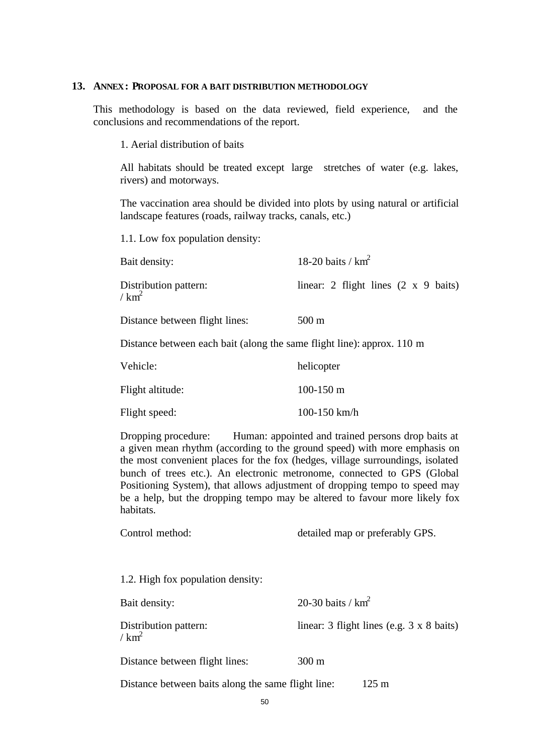#### **13. ANNEX: PROPOSAL FOR A BAIT DISTRIBUTION METHODOLOGY**

This methodology is based on the data reviewed, field experience, and the conclusions and recommendations of the report.

1. Aerial distribution of baits

All habitats should be treated except large stretches of water (e.g. lakes, rivers) and motorways.

The vaccination area should be divided into plots by using natural or artificial landscape features (roads, railway tracks, canals, etc.)

1.1. Low fox population density:

| Bait density:                                                          | 18-20 baits / $km^2$                                |
|------------------------------------------------------------------------|-----------------------------------------------------|
| Distribution pattern:<br>/ $km^2$                                      | linear: 2 flight lines $(2 \times 9 \text{ baits})$ |
| Distance between flight lines:                                         | $500 \text{ m}$                                     |
| Distance between each bait (along the same flight line): approx. 110 m |                                                     |
|                                                                        |                                                     |

| Vehicle:         | helicopter   |
|------------------|--------------|
| Flight altitude: | 100-150 m    |
| Flight speed:    | 100-150 km/h |

Dropping procedure: Human: appointed and trained persons drop baits at a given mean rhythm (according to the ground speed) with more emphasis on the most convenient places for the fox (hedges, village surroundings, isolated bunch of trees etc.). An electronic metronome, connected to GPS (Global Positioning System), that allows adjustment of dropping tempo to speed may be a help, but the dropping tempo may be altered to favour more likely fox habitats.

| Control method: | detailed map or preferably GPS. |
|-----------------|---------------------------------|
|                 |                                 |

1.2. High fox population density:

| Bait density:                     | 20-30 baits / $km^2$                               |
|-----------------------------------|----------------------------------------------------|
| Distribution pattern:<br>/ $km^2$ | linear: $3$ flight lines (e.g. $3 \times 8$ baits) |
| Distance between flight lines:    | $300 \text{ m}$                                    |

Distance between baits along the same flight line: 125 m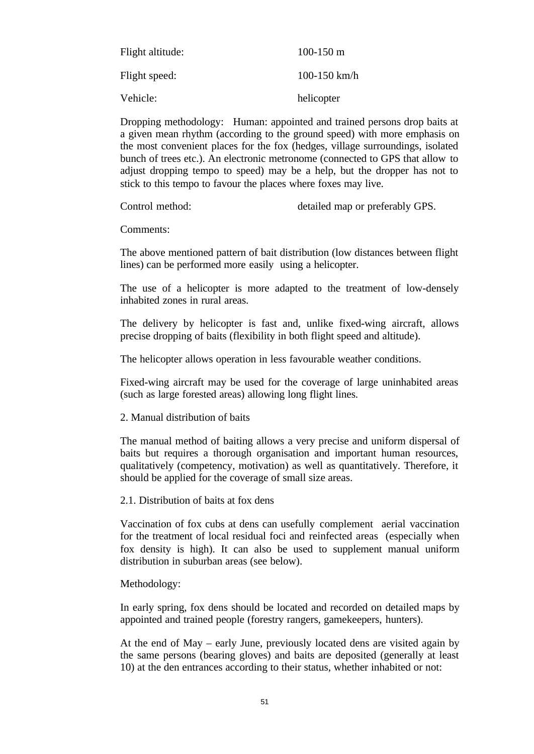| Flight altitude: | $100-150 \text{ m}$ |
|------------------|---------------------|
| Flight speed:    | 100-150 km/h        |
| Vehicle:         | helicopter          |

Dropping methodology: Human: appointed and trained persons drop baits at a given mean rhythm (according to the ground speed) with more emphasis on the most convenient places for the fox (hedges, village surroundings, isolated bunch of trees etc.). An electronic metronome (connected to GPS that allow to adjust dropping tempo to speed) may be a help, but the dropper has not to stick to this tempo to favour the places where foxes may live.

Control method: detailed map or preferably GPS.

Comments:

The above mentioned pattern of bait distribution (low distances between flight lines) can be performed more easily using a helicopter.

The use of a helicopter is more adapted to the treatment of low-densely inhabited zones in rural areas.

The delivery by helicopter is fast and, unlike fixed-wing aircraft, allows precise dropping of baits (flexibility in both flight speed and altitude).

The helicopter allows operation in less favourable weather conditions.

Fixed-wing aircraft may be used for the coverage of large uninhabited areas (such as large forested areas) allowing long flight lines.

2. Manual distribution of baits

The manual method of baiting allows a very precise and uniform dispersal of baits but requires a thorough organisation and important human resources, qualitatively (competency, motivation) as well as quantitatively. Therefore, it should be applied for the coverage of small size areas.

2.1. Distribution of baits at fox dens

Vaccination of fox cubs at dens can usefully complement aerial vaccination for the treatment of local residual foci and reinfected areas (especially when fox density is high). It can also be used to supplement manual uniform distribution in suburban areas (see below).

Methodology:

In early spring, fox dens should be located and recorded on detailed maps by appointed and trained people (forestry rangers, gamekeepers, hunters).

At the end of May – early June, previously located dens are visited again by the same persons (bearing gloves) and baits are deposited (generally at least 10) at the den entrances according to their status, whether inhabited or not: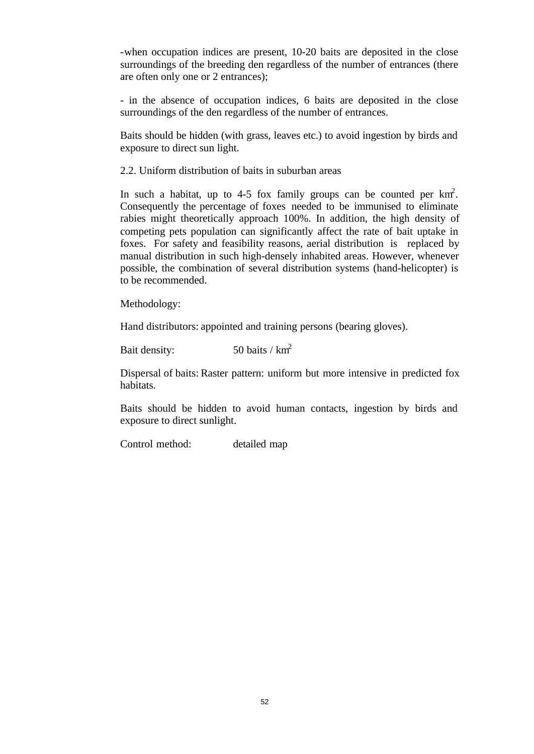-when occupation indices are present, 10-20 baits are deposited in the close surroundings of the breeding den regardless of the number of entrances (there are often only one or 2 entrances);

- in the absence of occupation indices, 6 baits are deposited in the close surroundings of the den regardless of the number of entrances.

Baits should be hidden (with grass, leaves etc.) to avoid ingestion by birds and exposure to direct sun light.

2.2. Uniform distribution of baits in suburban areas

In such a habitat, up to 4-5 fox family groups can be counted per  $km^2$ . Consequently the percentage of foxes needed to be immunised to eliminate rabies might theoretically approach 100%. In addition, the high density of competing pets population can significantly affect the rate of bait uptake in foxes. For safety and feasibility reasons, aerial distribution is replaced by manual distribution in such high-densely inhabited areas. However, whenever possible, the combination of several distribution systems (hand-helicopter) is to be recommended.

Methodology:

Hand distributors: appointed and training persons (bearing gloves).

Bait density:  $50 \text{ baits} / \text{ km}^2$ 

Dispersal of baits: Raster pattern: uniform but more intensive in predicted fox habitats.

Baits should be hidden to avoid human contacts, ingestion by birds and exposure to direct sunlight.

Control method: detailed map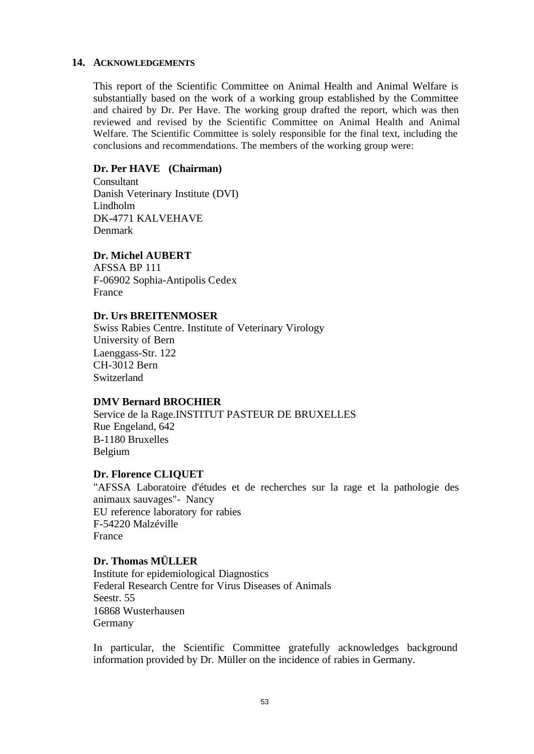#### **14. ACKNOWLEDGEMENTS**

This report of the Scientific Committee on Animal Health and Animal Welfare is substantially based on the work of a working group established by the Committee and chaired by Dr. Per Have. The working group drafted the report, which was then reviewed and revised by the Scientific Committee on Animal Health and Animal Welfare. The Scientific Committee is solely responsible for the final text, including the conclusions and recommendations. The members of the working group were:

## **Dr. Per HAVE (Chairman)**

Consultant Danish Veterinary Institute (DVI) Lindholm DK-4771 KALVEHAVE Denmark

## **Dr. Michel AUBERT**

AFSSA BP 111 F-06902 Sophia-Antipolis Cedex France

## **Dr. Urs BREITENMOSER**

Swiss Rabies Centre. Institute of Veterinary Virology University of Bern Laenggass-Str. 122 CH-3012 Bern Switzerland

## **DMV Bernard BROCHIER**

Service de la Rage.INSTITUT PASTEUR DE BRUXELLES Rue Engeland, 642 B-1180 Bruxelles Belgium

## **Dr. Florence CLIQUET**

"AFSSA Laboratoire d'études et de recherches sur la rage et la pathologie des animaux sauvages"- Nancy EU reference laboratory for rabies F-54220 Malzéville France

## **Dr. Thomas MÜLLER**

Institute for epidemiological Diagnostics Federal Research Centre for Virus Diseases of Animals Seestr. 55 16868 Wusterhausen Germany

In particular, the Scientific Committee gratefully acknowledges background information provided by Dr. Müller on the incidence of rabies in Germany.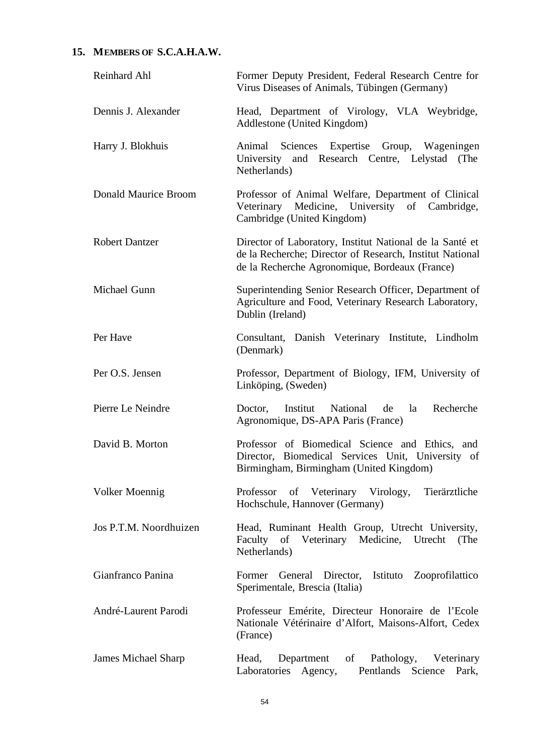## **15. MEMBERS OF S.C.A.H.A.W.**

| Reinhard Ahl           | Former Deputy President, Federal Research Centre for<br>Virus Diseases of Animals, Tübingen (Germany)                                                                  |
|------------------------|------------------------------------------------------------------------------------------------------------------------------------------------------------------------|
| Dennis J. Alexander    | Head, Department of Virology, VLA Weybridge,<br>Addlestone (United Kingdom)                                                                                            |
| Harry J. Blokhuis      | Animal Sciences Expertise Group, Wageningen<br>University and Research Centre, Lelystad (The<br>Netherlands)                                                           |
| Donald Maurice Broom   | Professor of Animal Welfare, Department of Clinical<br>Veterinary Medicine, University of Cambridge,<br>Cambridge (United Kingdom)                                     |
| <b>Robert Dantzer</b>  | Director of Laboratory, Institut National de la Santé et<br>de la Recherche; Director of Research, Institut National<br>de la Recherche Agronomique, Bordeaux (France) |
| Michael Gunn           | Superintending Senior Research Officer, Department of<br>Agriculture and Food, Veterinary Research Laboratory,<br>Dublin (Ireland)                                     |
| Per Have               | Consultant, Danish Veterinary Institute, Lindholm<br>(Denmark)                                                                                                         |
| Per O.S. Jensen        | Professor, Department of Biology, IFM, University of<br>Linköping, (Sweden)                                                                                            |
| Pierre Le Neindre      | Doctor, Institut<br>National<br>Recherche<br>de<br>la<br>Agronomique, DS-APA Paris (France)                                                                            |
| David B. Morton        | Professor of Biomedical Science and Ethics, and<br>Director, Biomedical Services Unit, University of<br>Birmingham, Birmingham (United Kingdom)                        |
| Volker Moennig         | of Veterinary Virology,<br>Tierärztliche<br>Professor<br>Hochschule, Hannover (Germany)                                                                                |
| Jos P.T.M. Noordhuizen | Head, Ruminant Health Group, Utrecht University,<br>Faculty of Veterinary Medicine, Utrecht (The<br>Netherlands)                                                       |
| Gianfranco Panina      | General Director, Istituto Zooprofilattico<br>Former<br>Sperimentale, Brescia (Italia)                                                                                 |
| André-Laurent Parodi   | Professeur Emérite, Directeur Honoraire de l'Ecole<br>Nationale Vétérinaire d'Alfort, Maisons-Alfort, Cedex<br>(France)                                                |
| James Michael Sharp    | Department<br>of Pathology, Veterinary<br>Head,<br>Laboratories Agency,<br>Pentlands Science Park,                                                                     |